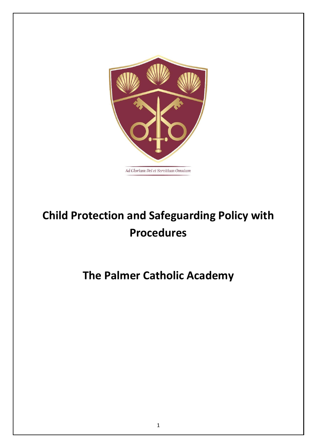

# **Child Protection and Safeguarding Policy with Procedures**

# **The Palmer Catholic Academy**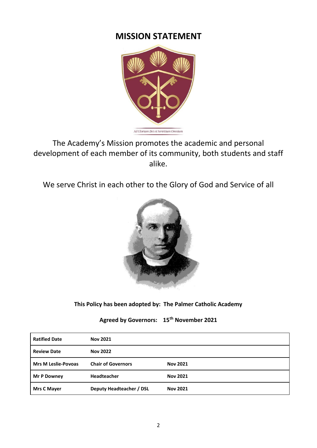# **MISSION STATEMENT**



The Academy's Mission promotes the academic and personal development of each member of its community, both students and staff alike.

We serve Christ in each other to the Glory of God and Service of all



**This Policy has been adopted by: The Palmer Catholic Academy**

**Agreed by Governors: 15th November 2021** 

| <b>Ratified Date</b>       | <b>Nov 2021</b>           |                 |
|----------------------------|---------------------------|-----------------|
| <b>Review Date</b>         | <b>Nov 2022</b>           |                 |
| <b>Mrs M Leslie-Povoas</b> | <b>Chair of Governors</b> | <b>Nov 2021</b> |
| <b>Mr P Downey</b>         | <b>Headteacher</b>        | <b>Nov 2021</b> |
| <b>Mrs C Mayer</b>         | Deputy Headteacher / DSL  | <b>Nov 2021</b> |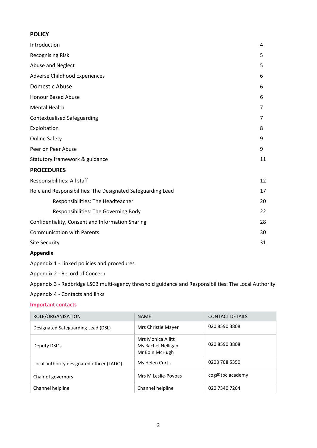# **POLICY**

| Introduction                                                | 4  |  |
|-------------------------------------------------------------|----|--|
| <b>Recognising Risk</b>                                     | 5  |  |
| Abuse and Neglect                                           | 5  |  |
| Adverse Childhood Experiences                               | 6  |  |
| Domestic Abuse                                              | 6  |  |
| <b>Honour Based Abuse</b>                                   | 6  |  |
| <b>Mental Health</b>                                        | 7  |  |
| <b>Contextualised Safeguarding</b>                          | 7  |  |
| Exploitation                                                | 8  |  |
| <b>Online Safety</b>                                        | 9  |  |
| Peer on Peer Abuse                                          | 9  |  |
| Statutory framework & guidance                              | 11 |  |
| <b>PROCEDURES</b>                                           |    |  |
| Responsibilities: All staff                                 | 12 |  |
| Role and Responsibilities: The Designated Safeguarding Lead |    |  |
| Responsibilities: The Headteacher                           | 20 |  |
| Responsibilities: The Governing Body                        | 22 |  |
| Confidentiality, Consent and Information Sharing            |    |  |
| <b>Communication with Parents</b>                           |    |  |
| <b>Site Security</b>                                        |    |  |
|                                                             |    |  |

#### **Appendix**

Appendix 1 - Linked policies and procedures

Appendix 2 - Record of Concern

Appendix 3 - Redbridge LSCB multi-agency threshold guidance and Responsibilities: The Local Authority Appendix 4 - Contacts and links

# **Important contacts**

| ROLE/ORGANISATION                         | <b>NAMF</b>                                               | <b>CONTACT DETAILS</b> |
|-------------------------------------------|-----------------------------------------------------------|------------------------|
| Designated Safeguarding Lead (DSL)        | Mrs Christie Mayer                                        | 020 8590 3808          |
| Deputy DSL's                              | Mrs Monica Allitt<br>Ms Rachel Nelligan<br>Mr Eoin McHugh | 020 8590 3808          |
| Local authority designated officer (LADO) | Ms Helen Curtis                                           | 0208 708 5350          |
| Chair of governors                        | Mrs M Leslie-Povoas                                       | cog@tpc.academy        |
| Channel helpline                          | Channel helpline                                          | 020 7340 7264          |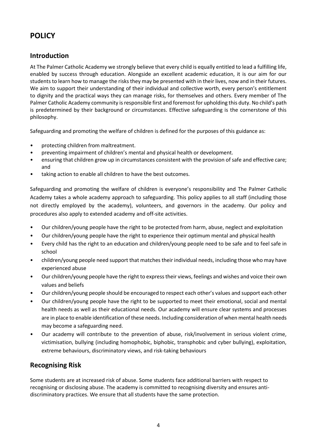# **POLICY**

# **Introduction**

At The Palmer Catholic Academy we strongly believe that every child is equally entitled to lead a fulfilling life, enabled by success through education. Alongside an excellent academic education, it is our aim for our students to learn how to manage the risks they may be presented with in their lives, now and in their futures. We aim to support their understanding of their individual and collective worth, every person's entitlement to dignity and the practical ways they can manage risks, for themselves and others. Every member of The Palmer Catholic Academy community is responsible first and foremost for upholding this duty. No child's path is predetermined by their background or circumstances. Effective safeguarding is the cornerstone of this philosophy.

Safeguarding and promoting the welfare of children is defined for the purposes of this guidance as:

- protecting children from maltreatment.
- preventing impairment of children's mental and physical health or development.
- ensuring that children grow up in circumstances consistent with the provision of safe and effective care; and
- taking action to enable all children to have the best outcomes.

Safeguarding and promoting the welfare of children is everyone's responsibility and The Palmer Catholic Academy takes a whole academy approach to safeguarding. This policy applies to all staff (including those not directly employed by the academy), volunteers, and governors in the academy. Our policy and procedures also apply to extended academy and off-site activities.

- Our children/young people have the right to be protected from harm, abuse, neglect and exploitation
- Our children/young people have the right to experience their optimum mental and physical health
- Every child has the right to an education and children/young people need to be safe and to feel safe in school
- children/young people need support that matches their individual needs, including those who may have experienced abuse
- Our children/young people have the right to express their views, feelings and wishes and voice their own values and beliefs
- Our children/young people should be encouraged to respect each other's values and support each other
- Our children/young people have the right to be supported to meet their emotional, social and mental health needs as well as their educational needs. Our academy will ensure clear systems and processes are in place to enable identification of these needs. Including consideration of when mental health needs may become a safeguarding need.
- Our academy will contribute to the prevention of abuse, risk/involvement in serious violent crime, victimisation, bullying (including homophobic, biphobic, transphobic and cyber bullying), exploitation, extreme behaviours, discriminatory views, and risk-taking behaviours

# **Recognising Risk**

Some students are at increased risk of abuse. Some students face additional barriers with respect to recognising or disclosing abuse. The academy is committed to recognising diversity and ensures antidiscriminatory practices. We ensure that all students have the same protection.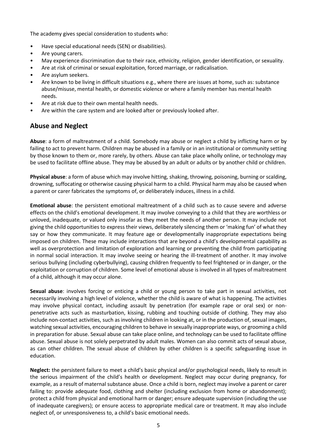The academy gives special consideration to students who:

- Have special educational needs (SEN) or disabilities).
- Are young carers.
- May experience discrimination due to their race, ethnicity, religion, gender identification, or sexuality.
- Are at risk of criminal or sexual exploitation, forced marriage, or radicalisation.
- Are asylum seekers.
- Are known to be living in difficult situations e.g., where there are issues at home, such as: substance abuse/misuse, mental health, or domestic violence or where a family member has mental health needs.
- Are at risk due to their own mental health needs.
- Are within the care system and are looked after or previously looked after.

# **Abuse and Neglect**

**Abuse**: a form of maltreatment of a child. Somebody may abuse or neglect a child by inflicting harm or by failing to act to prevent harm. Children may be abused in a family or in an institutional or community setting by those known to them or, more rarely, by others. Abuse can take place wholly online, or technology may be used to facilitate offline abuse. They may be abused by an adult or adults or by another child or children.

**Physical abuse**: a form of abuse which may involve hitting, shaking, throwing, poisoning, burning or scalding, drowning, suffocating or otherwise causing physical harm to a child. Physical harm may also be caused when a parent or carer fabricates the symptoms of, or deliberately induces, illness in a child.

**Emotional abuse**: the persistent emotional maltreatment of a child such as to cause severe and adverse effects on the child's emotional development. It may involve conveying to a child that they are worthless or unloved, inadequate, or valued only insofar as they meet the needs of another person. It may include not giving the child opportunities to express their views, deliberately silencing them or 'making fun' of what they say or how they communicate. It may feature age or developmentally inappropriate expectations being imposed on children. These may include interactions that are beyond a child's developmental capability as well as overprotection and limitation of exploration and learning or preventing the child from participating in normal social interaction. It may involve seeing or hearing the ill-treatment of another. It may involve serious bullying (including cyberbullying), causing children frequently to feel frightened or in danger, or the exploitation or corruption of children. Some level of emotional abuse is involved in all types of maltreatment of a child, although it may occur alone.

**Sexual abuse**: involves forcing or enticing a child or young person to take part in sexual activities, not necessarily involving a high level of violence, whether the child is aware of what is happening. The activities may involve physical contact, including assault by penetration (for example rape or oral sex) or nonpenetrative acts such as masturbation, kissing, rubbing and touching outside of clothing. They may also include non-contact activities, such as involving children in looking at, or in the production of, sexual images, watching sexual activities, encouraging children to behave in sexually inappropriate ways, or grooming a child in preparation for abuse. Sexual abuse can take place online, and technology can be used to facilitate offline abuse. Sexual abuse is not solely perpetrated by adult males. Women can also commit acts of sexual abuse, as can other children. The sexual abuse of children by other children is a specific safeguarding issue in education.

**Neglect:** the persistent failure to meet a child's basic physical and/or psychological needs, likely to result in the serious impairment of the child's health or development. Neglect may occur during pregnancy, for example, as a result of maternal substance abuse. Once a child is born, neglect may involve a parent or carer failing to: provide adequate food, clothing and shelter (including exclusion from home or abandonment); protect a child from physical and emotional harm or danger; ensure adequate supervision (including the use of inadequate caregivers); or ensure access to appropriate medical care or treatment. It may also include neglect of, or unresponsiveness to, a child's basic emotional needs.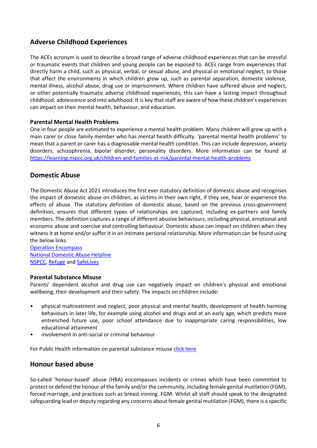# **Adverse Childhood Experiences**

The ACEs acronym is used to describe a broad range of adverse childhood experiences that can be stressful or traumatic events that children and young people can be exposed to. ACEs range from experiences that directly harm a child, such as physical, verbal, or sexual abuse, and physical or emotional neglect, to those that affect the environments in which children grow up, such as parental separation, domestic violence, mental illness, alcohol abuse, drug use or imprisonment. Where children have suffered abuse and neglect, or other potentially traumatic adverse childhood experiences, this can have a lasting impact throughout childhood, adolescence and into adulthood. It is key that staff are aware of how these children's experiences can impact on their mental health, behaviour, and education.

## **Parental Mental Health Problems**

One in four people are estimated to experience a mental health problem. Many children will grow up with a main carer or close family member who has mental health difficulty. 'parental mental health problems' to mean that a parent or carer has a diagnosable mental health condition. This can include depression, anxiety disorders, schizophrenia, bipolar disorder, personality disorders. More information can be found at <https://learning.nspcc.org.uk/children-and-families-at-risk/parental-mental-health-problems>

# **Domestic Abuse**

The Domestic Abuse Act 2021 introduces the first ever statutory definition of domestic abuse and recognises the impact of domestic abuse on children, as victims in their own right, if they see, hear or experience the effects of abuse. The statutory definition of domestic abuse, based on the previous cross-government definition, ensures that different types of relationships are captured, including ex-partners and family members. The definition captures a range of different abusive behaviours, including physical, emotional and economic abuse and coercive and controlling behaviour. Domestic abuse can impact on children when they witness it at home and/or suffer it in an intimate personal relationship. More information can be found using the below links.

[Operation Encompass](https://www.operationencompass.org/)  [National Domestic Abuse Helpline](https://www.nationaldahelpline.org.uk/) [NSPCC,](https://www.nspcc.org.uk/) [Refuge](https://www.refuge.org.uk/) an[d SafeLives](https://safelives.org.uk/) 

## **Parental Substance Misuse**

Parents' dependent alcohol and drug use can negatively impact on children's physical and emotional wellbeing, their development and their safety. The impacts on children include:

- physical maltreatment and neglect, poor physical and mental health, development of health harming behaviours in later life, for example using alcohol and drugs and at an early age, which predicts more entrenched future use, poor school attendance due to inappropriate caring responsibilities, low educational attainment
- involvement in anti-social or criminal behaviour

For Public Health information on parental substance misuse [click here](https://www.gov.uk/government/publications/parents-with-alcohol-and-drug-problems-support-resources/parents-with-alcohol-and-drug-problems-guidance-for-adult-treatment-and-children-and-family-services)

# **Honour based abuse**

So-called 'honour-based' abuse (HBA) encompasses incidents or crimes which have been committed to protect or defend the honour of the family and/or the community, including female genital mutilation (FGM), forced marriage, and practices such as breast ironing. FGM: Whilst all staff should speak to the designated safeguarding lead or deputy regarding any concerns about female genital mutilation (FGM), there is a specific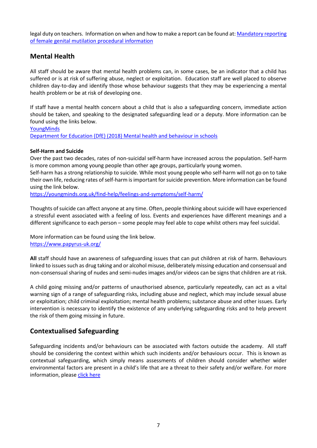legal duty on teachers. Information on when and how to make a report can be found at[: Mandatory reporting](https://www.gov.uk/government/publications/mandatory-reporting-of-female-genital-mutilation-procedural-information)  [of female genital mutilation procedural information](https://www.gov.uk/government/publications/mandatory-reporting-of-female-genital-mutilation-procedural-information)

# **Mental Health**

All staff should be aware that mental health problems can, in some cases, be an indicator that a child has suffered or is at risk of suffering abuse, neglect or exploitation. Education staff are well placed to observe children day-to-day and identify those whose behaviour suggests that they may be experiencing a mental health problem or be at risk of developing one.

If staff have a mental health concern about a child that is also a safeguarding concern, immediate action should be taken, and speaking to the designated safeguarding lead or a deputy. More information can be found using the links below.

[YoungMinds](https://youngminds.org.uk/)

[Department for Education \(DfE\) \(2018\) Mental health and behaviour in schools](https://www.gov.uk/government/publications/mental-health-and-behaviour-in-schools--2)

#### **Self-Harm and Suicide**

Over the past two decades, rates of non-suicidal self-harm have increased across the population. Self-harm is more common among young people than other age groups, particularly young women.

Self-harm has a strong relationship to suicide. While most young people who self-harm will not go on to take their own life, reducing rates of self-harm is important for suicide prevention. More information can be found using the link below.

<https://youngminds.org.uk/find-help/feelings-and-symptoms/self-harm/>

Thoughts of suicide can affect anyone at any time. Often, people thinking about suicide will have experienced a stressful event associated with a feeling of loss. Events and experiences have different meanings and a different significance to each person – some people may feel able to cope whilst others may feel suicidal.

More information can be found using the link below. <https://www.papyrus-uk.org/>

**All** staff should have an awareness of safeguarding issues that can put children at risk of harm. Behaviours linked to issues such as drug taking and or alcohol misuse, deliberately missing education and consensual and non-consensual sharing of nudes and semi-nudes images and/or videos can be signs that children are at risk.

A child going missing and/or patterns of unauthorised absence, particularly repeatedly, can act as a vital warning sign of a range of safeguarding risks, including abuse and neglect, which may include sexual abuse or exploitation; child criminal exploitation; mental health problems; substance abuse and other issues. Early intervention is necessary to identify the existence of any underlying safeguarding risks and to help prevent the risk of them going missing in future.

# **Contextualised Safeguarding**

Safeguarding incidents and/or behaviours can be associated with factors outside the academy. All staff should be considering the context within which such incidents and/or behaviours occur. This is known as contextual safeguarding, which simply means assessments of children should consider whether wider environmental factors are present in a child's life that are a threat to their safety and/or welfare. For more information, please [click here](https://contextualsafeguarding.org.uk/)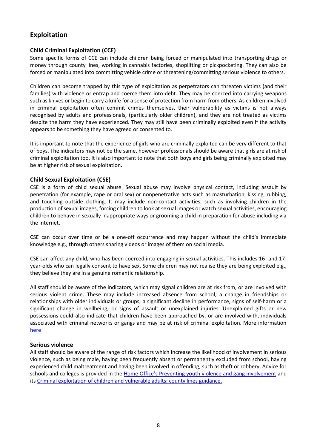# **Exploitation**

## **Child Criminal Exploitation (CCE)**

Some specific forms of CCE can include children being forced or manipulated into transporting drugs or money through county lines, working in cannabis factories, shoplifting or pickpocketing. They can also be forced or manipulated into committing vehicle crime or threatening/committing serious violence to others.

Children can become trapped by this type of exploitation as perpetrators can threaten victims (and their families) with violence or entrap and coerce them into debt. They may be coerced into carrying weapons such as knives or begin to carry a knife for a sense of protection from harm from others. As children involved in criminal exploitation often commit crimes themselves, their vulnerability as victims is not always recognised by adults and professionals, (particularly older children), and they are not treated as victims despite the harm they have experienced. They may still have been criminally exploited even if the activity appears to be something they have agreed or consented to.

It is important to note that the experience of girls who are criminally exploited can be very different to that of boys. The indicators may not be the same, however professionals should be aware that girls are at risk of criminal exploitation too. It is also important to note that both boys and girls being criminally exploited may be at higher risk of sexual exploitation.

## **Child Sexual Exploitation (CSE)**

CSE is a form of child sexual abuse. Sexual abuse may involve physical contact, including assault by penetration (for example, rape or oral sex) or nonpenetrative acts such as masturbation, kissing, rubbing, and touching outside clothing. It may include non-contact activities, such as involving children in the production of sexual images, forcing children to look at sexual images or watch sexual activities, encouraging children to behave in sexually inappropriate ways or grooming a child in preparation for abuse including via the internet.

CSE can occur over time or be a one-off occurrence and may happen without the child's immediate knowledge e.g., through others sharing videos or images of them on social media.

CSE can affect any child, who has been coerced into engaging in sexual activities. This includes 16- and 17 year-olds who can legally consent to have sex. Some children may not realise they are being exploited e.g., they believe they are in a genuine romantic relationship.

All staff should be aware of the indicators, which may signal children are at risk from, or are involved with serious violent crime. These may include increased absence from school, a change in friendships or relationships with older individuals or groups, a significant decline in performance, signs of self-harm or a significant change in wellbeing, or signs of assault or unexplained injuries. Unexplained gifts or new possessions could also indicate that children have been approached by, or are involved with, individuals associated with criminal networks or gangs and may be at risk of criminal exploitation. More information [here](https://www.gov.uk/government/publications/child-sexual-exploitation-definition-and-guide-for-practitioners)

## **Serious violence**

All staff should be aware of the range of risk factors which increase the likelihood of involvement in serious violence, such as being male, having been frequently absent or permanently excluded from school, having experienced child maltreatment and having been involved in offending, such as theft or robbery. Advice for schools and colleges is provided in the [Home Office's Preventing youth violence and gang involvement](https://www.gov.uk/government/publications/advice-to-schools-and-colleges-on-gangs-and-youth-violence) and its [Criminal exploitation of children and vulnerable adults: county lines guidance.](https://www.gov.uk/government/publications/criminal-exploitation-of-children-and-vulnerable-adults-county-lines)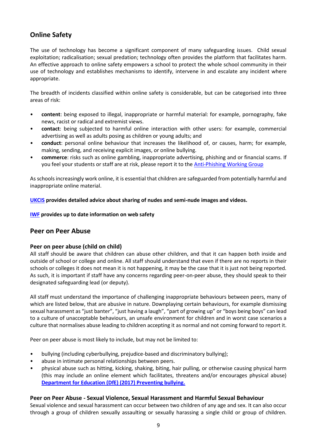# **Online Safety**

The use of technology has become a significant component of many safeguarding issues. Child sexual exploitation; radicalisation; sexual predation; technology often provides the platform that facilitates harm. An effective approach to online safety empowers a school to protect the whole school community in their use of technology and establishes mechanisms to identify, intervene in and escalate any incident where appropriate.

The breadth of incidents classified within online safety is considerable, but can be categorised into three areas of risk:

- **content**: being exposed to illegal, inappropriate or harmful material: for example, pornography, fake news, racist or radical and extremist views.
- **contact**: being subjected to harmful online interaction with other users: for example, commercial advertising as well as adults posing as children or young adults; and
- **conduct**: personal online behaviour that increases the likelihood of, or causes, harm; for example, making, sending, and receiving explicit images, or online bullying.
- **commerce**: risks such as online gambling, inappropriate advertising, phishing and or financial scams. If you feel your students or staff are at risk, please report it to the [Anti-Phishing Working Group](https://apwg.org/)

As schools increasingly work online, it is essential that children are safeguarded from potentially harmful and inappropriate online material.

## **[UKCIS](https://www.gov.uk/government/organisations/uk-council-for-internet-safety) provides detailed advice about sharing of nudes and semi-nude images and videos.**

**[IWF](https://www.iwf.org.uk/) provides up to date information on web safety**

# **Peer on Peer Abuse**

## **Peer on peer abuse (child on child)**

All staff should be aware that children can abuse other children, and that it can happen both inside and outside of school or college and online. All staff should understand that even if there are no reports in their schools or colleges it does not mean it is not happening, it may be the case that it is just not being reported. As such, it is important if staff have any concerns regarding peer-on-peer abuse, they should speak to their designated safeguarding lead (or deputy).

All staff must understand the importance of challenging inappropriate behaviours between peers, many of which are listed below, that are abusive in nature. Downplaying certain behaviours, for example dismissing sexual harassment as "just banter", "just having a laugh", "part of growing up" or "boys being boys" can lead to a culture of unacceptable behaviours, an unsafe environment for children and in worst case scenarios a culture that normalises abuse leading to children accepting it as normal and not coming forward to report it.

Peer on peer abuse is most likely to include, but may not be limited to:

- bullying (including cyberbullying, prejudice-based and discriminatory bullying);
- abuse in intimate personal relationships between peers.
- physical abuse such as hitting, kicking, shaking, biting, hair pulling, or otherwise causing physical harm (this may include an online element which facilitates, threatens and/or encourages physical abuse) **[Department for Education \(DfE\) \(2017\) Preventing bullying.](https://www.gov.uk/government/publications/preventing-and-tackling-bullying)**

## **Peer on Peer Abuse - Sexual Violence, Sexual Harassment and Harmful Sexual Behaviour**

Sexual violence and sexual harassment can occur between two children of any age and sex. It can also occur through a group of children sexually assaulting or sexually harassing a single child or group of children.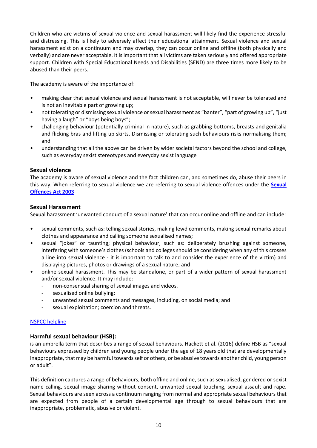Children who are victims of sexual violence and sexual harassment will likely find the experience stressful and distressing. This is likely to adversely affect their educational attainment. Sexual violence and sexual harassment exist on a continuum and may overlap, they can occur online and offline (both physically and verbally) and are never acceptable. It is important that all victims are taken seriously and offered appropriate support. Children with Special Educational Needs and Disabilities (SEND) are three times more likely to be abused than their peers.

The academy is aware of the importance of:

- making clear that sexual violence and sexual harassment is not acceptable, will never be tolerated and is not an inevitable part of growing up;
- not tolerating or dismissing sexual violence or sexual harassment as "banter", "part of growing up", "just having a laugh" or "boys being boys";
- challenging behaviour (potentially criminal in nature), such as grabbing bottoms, breasts and genitalia and flicking bras and lifting up skirts. Dismissing or tolerating such behaviours risks normalising them; and
- understanding that all the above can be driven by wider societal factors beyond the school and college, such as everyday sexist stereotypes and everyday sexist language

#### **Sexual violence**

The academy is aware of sexual violence and the fact children can, and sometimes do, abuse their peers in this way. When referring to sexual violence we are referring to sexual violence offences under the **[Sexual](https://www.legislation.gov.uk/ukpga/2003/42/contents)  [Offences Act 2003](https://www.legislation.gov.uk/ukpga/2003/42/contents)**

#### **Sexual Harassment**

Sexual harassment 'unwanted conduct of a sexual nature' that can occur online and offline and can include:

- sexual comments, such as: telling sexual stories, making lewd comments, making sexual remarks about clothes and appearance and calling someone sexualised names;
- sexual "jokes" or taunting; physical behaviour, such as: deliberately brushing against someone, interfering with someone's clothes (schools and colleges should be considering when any of this crosses a line into sexual violence - it is important to talk to and consider the experience of the victim) and displaying pictures, photos or drawings of a sexual nature; and
- online sexual harassment. This may be standalone, or part of a wider pattern of sexual harassment and/or sexual violence. It may include:
	- non-consensual sharing of sexual images and videos.
	- sexualised online bullying;
	- unwanted sexual comments and messages, including, on social media; and
	- sexual exploitation; coercion and threats.

#### [NSPCC helpline](https://www.nspcc.org.uk/about-us/news-opinion/2021/sexual-abuse-victims-schools-helpline/)

## **Harmful sexual behaviour (HSB):**

is an umbrella term that describes a range of sexual behaviours. Hackett et al. (2016) define HSB as "sexual behaviours expressed by children and young people under the age of 18 years old that are developmentally inappropriate, that may be harmful towards self or others, or be abusive towards another child, young person or adult".

This definition captures a range of behaviours, both offline and online, such as sexualised, gendered or sexist name calling, sexual image sharing without consent, unwanted sexual touching, sexual assault and rape. Sexual behaviours are seen across a continuum ranging from normal and appropriate sexual behaviours that are expected from people of a certain developmental age through to sexual behaviours that are inappropriate, problematic, abusive or violent.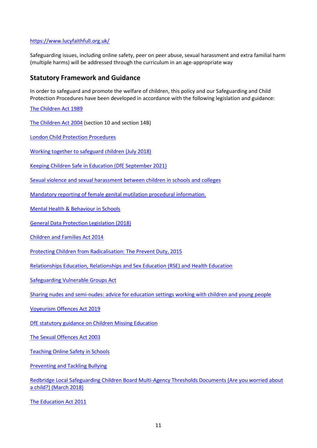#### <https://www.lucyfaithfull.org.uk/>

Safeguarding issues, including online safety, peer on peer abuse, sexual harassment and extra familial harm (multiple harms) will be addressed through the curriculum in an age-appropriate way

## **Statutory Framework and Guidance**

In order to safeguard and promote the welfare of children, this policy and our Safeguarding and Child Protection Procedures have been developed in accordance with the following legislation and guidance:

[The Children Act 1989](https://www.legislation.gov.uk/ukpga/1989/41/contents)

[The Children Act 2004](https://www.legislation.gov.uk/ukpga/2004/31/contents) (section 10 and section 14B)

[London Child Protection Procedures](https://www.londoncp.co.uk/index.html)

[Working together to safeguard children \(July 2018\)](https://assets.publishing.service.gov.uk/government/uploads/system/uploads/attachment_data/file/729914/Working_Together_to_Safeguard_Children-2018.pdf)

[Keeping Children Safe in Education \(DfE September 2021\)](https://assets.publishing.service.gov.uk/government/uploads/system/uploads/attachment_data/file/1007260/Keeping_children_safe_in_education_2021.pdf)

[Sexual violence and sexual harassment between children in schools and colleges](https://assets.publishing.service.gov.uk/government/uploads/system/uploads/attachment_data/file/999239/SVSH_2021.pdf) 

[Mandatory reporting of female genital mutilation procedural information.](https://www.gov.uk/government/publications/mandatory-reporting-of-female-genital-mutilation-procedural-information)

[Mental Health & Behaviour in Schools](https://assets.publishing.service.gov.uk/government/uploads/system/uploads/attachment_data/file/755135/Mental_health_and_behaviour_in_schools__.pdf)

[General Data Protection Legislation \(2018\)](https://www.legislation.gov.uk/ukpga/2018/12/contents/enacted)

[Children and Families Act 2014](https://www.legislation.gov.uk/ukpga/2014/6/contents/enacted)

[Protecting Children from Radicalisation: The Prevent Duty, 2015](https://assets.publishing.service.gov.uk/government/uploads/system/uploads/attachment_data/file/439598/prevent-duty-departmental-advice-v6.pdf)

[Relationships Education, Relationships and Sex Education \(RSE\) and Health Education](https://assets.publishing.service.gov.uk/government/uploads/system/uploads/attachment_data/file/908013/Relationships_Education__Relationships_and_Sex_Education__RSE__and_Health_Education.pdf)

[Safeguarding Vulnerable Groups Act](https://www.legislation.gov.uk/ukpga/2006/47/contents)

[Sharing nudes and semi-nudes: advice for education settings working with children and young people](https://www.gov.uk/government/publications/sharing-nudes-and-semi-nudes-advice-for-education-settings-working-with-children-and-young-people)

[Voyeurism Offences Act 2019](https://www.legislation.gov.uk/ukpga/2019/2/contents/enacted)

[DfE statutory guidance on Children Missing Education](https://www.gov.uk/government/publications/children-missing-education)

[The Sexual Offences Act 2003](https://www.legislation.gov.uk/ukpga/2003/42/contents)

[Teaching Online Safety in Schools](https://assets.publishing.service.gov.uk/government/uploads/system/uploads/attachment_data/file/811796/Teaching_online_safety_in_school.pdf)

[Preventing and Tackling Bullying](https://assets.publishing.service.gov.uk/government/uploads/system/uploads/attachment_data/file/623895/Preventing_and_tackling_bullying_advice.pdf)

[Redbridge Local Safeguarding Children Board Multi-Agency Thresholds Documents \(Are you worried about](https://redbridgefaithforum.org/wordpress/wp-content/uploads/2018/03/Redbridge-LSCB-Multi-Agency-Thresholds-Document-March-2018.pdf)  [a child?\) \(March 2018\)](https://redbridgefaithforum.org/wordpress/wp-content/uploads/2018/03/Redbridge-LSCB-Multi-Agency-Thresholds-Document-March-2018.pdf)

[The Education Act 2011](https://www.legislation.gov.uk/ukpga/2011/21/contents/enacted)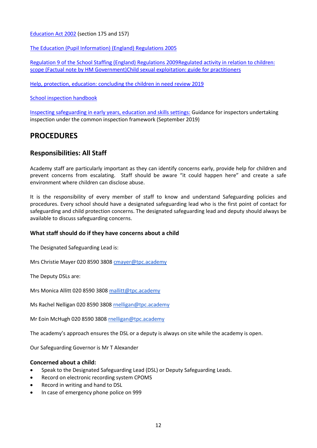[Education Act 2002](http://www.legislation.gov.uk/ukpga/2002/32/contents) (section 175 and 157)

[The Education \(Pupil Information\) \(England\) Regulations 2005](https://www.legislation.gov.uk/uksi/2005/1437/contents/made)

[Regulation 9 of the School Staffing \(England\) Regulations 2009](http://www.legislation.gov.uk/uksi/2009/2680/pdfs/uksi_20092680_en.pdf)[Regulated activity in relation to children:](https://assets.publishing.service.gov.uk/government/uploads/system/uploads/attachment_data/file/550197/Regulated_activity_in_relation_to_children.pdf)  [scope \(Factual note by HM Government\)](https://assets.publishing.service.gov.uk/government/uploads/system/uploads/attachment_data/file/550197/Regulated_activity_in_relation_to_children.pdf)[Child sexual exploitation: guide for practitioners](https://www.gov.uk/government/publications/child-sexual-exploitation-definition-and-guide-for-practitioners)

[Help, protection, education: concluding the children in need review 2019](https://assets.publishing.service.gov.uk/government/uploads/system/uploads/attachment_data/file/809236/190614_CHILDREN_IN_NEED_PUBLICATION_FINAL.pdf)

[School inspection handbook](https://www.gov.uk/government/publications/school-inspection-handbook-eif)

[Inspecting safeguarding in early years, education and skills settings:](https://assets.publishing.service.gov.uk/government/uploads/system/uploads/attachment_data/file/828688/Inspecting_safeguarding_-_020919.pdf) Guidance for inspectors undertaking inspection under the common inspection framework (September 2019)

# **PROCEDURES**

# **Responsibilities: All Staff**

Academy staff are particularly important as they can identify concerns early, provide help for children and prevent concerns from escalating. Staff should be aware "it could happen here" and create a safe environment where children can disclose abuse.

It is the responsibility of every member of staff to know and understand Safeguarding policies and procedures. Every school should have a designated safeguarding lead who is the first point of contact for safeguarding and child protection concerns. The designated safeguarding lead and deputy should always be available to discuss safeguarding concerns.

## **What staff should do if they have concerns about a child**

The Designated Safeguarding Lead is:

Mrs Christie Mayer 020 8590 380[8 cmayer@tpc.academy](http://cmayer@tpc.academy)

The Deputy DSLs are:

Mrs Monica Allitt 020 8590 3808 [mallitt@tpc.academy](http://mallitt@tpc.academy)

Ms Rachel Nelligan 020 8590 380[8 rnelligan@tpc.academy](http://rnelligan@tpc.academy)

Mr Eoin McHugh 020 8590 3808 [rnelligan@tpc.academy](http://rnelligan@tpc.academy)

The academy's approach ensures the DSL or a deputy is always on site while the academy is open.

Our Safeguarding Governor is Mr T Alexander

#### **Concerned about a child:**

- Speak to the Designated Safeguarding Lead (DSL) or Deputy Safeguarding Leads.
- Record on electronic recording system CPOMS
- Record in writing and hand to DSL
- In case of emergency phone police on 999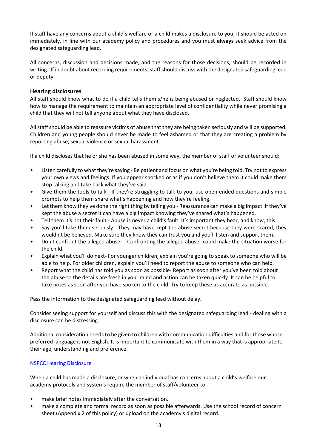If staff have any concerns about a child's welfare or a child makes a disclosure to you, it should be acted on immediately, in line with our academy policy and procedures and you must **always** seek advice from the designated safeguarding lead.

All concerns, discussion and decisions made, and the reasons for those decisions, should be recorded in writing. If in doubt about recording requirements, staff should discuss with the designated safeguarding lead or deputy.

## **Hearing disclosures**

All staff should know what to do if a child tells them s/he is being abused or neglected. Staff should know how to manage the requirement to maintain an appropriate level of confidentiality while never promising a child that they will not tell anyone about what they have disclosed.

All staff should be able to reassure victims of abuse that they are being taken seriously and will be supported. Children and young people should never be made to feel ashamed or that they are creating a problem by reporting abuse, sexual violence or sexual harassment.

If a child discloses that he or she has been abused in some way, the member of staff or volunteer should:

- Listen carefully to what they're saying Be patient and focus on what you're being told. Try not to express your own views and feelings. If you appear shocked or as if you don't believe them it could make them stop talking and take back what they've said.
- Give them the tools to talk If they're struggling to talk to you, use open ended questions and simple prompts to help them share what's happening and how they're feeling.
- Let them know they've done the right thing by telling you Reassurance can make a big impact. If they've kept the abuse a secret it can have a big impact knowing they've shared what's happened.
- Tell them it's not their fault Abuse is never a child's fault. It's important they hear, and know, this.
- Say you'll take them seriously They may have kept the abuse secret because they were scared, they wouldn't be believed. Make sure they know they can trust you and you'll listen and support them.
- Don't confront the alleged abuser Confronting the alleged abuser could make the situation worse for the child.
- Explain what you'll do next- For younger children, explain you're going to speak to someone who will be able to help. For older children, explain you'll need to report the abuse to someone who can help.
- Report what the child has told you as soon as possible- Report as soon after you've been told about the abuse so the details are fresh in your mind and action can be taken quickly. It can be helpful to take notes as soon after you have spoken to the child. Try to keep these as accurate as possible.

Pass the information to the designated safeguarding lead without delay.

Consider seeing support for yourself and discuss this with the designated safeguarding lead - dealing with a disclosure can be distressing.

Additional consideration needs to be given to children with communication difficulties and for those whose preferred language is not English. It is important to communicate with them in a way that is appropriate to their age, understanding and preference.

## [NSPCC Hearing Disclosure](https://learning.nspcc.org.uk/research-resources/2019/let-children-know-you-re-listening)

When a child has made a disclosure, or when an individual has concerns about a child's welfare our academy protocols and systems require the member of staff/volunteer to:

- make brief notes immediately after the conversation.
- make a complete and formal record as soon as possible afterwards. Use the school record of concern sheet (Appendix 2 of this policy) or upload on the academy's digital record.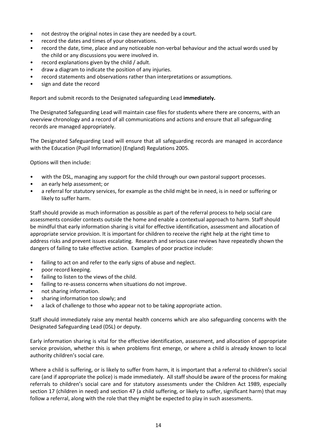- not destroy the original notes in case they are needed by a court.
- record the dates and times of your observations.
- record the date, time, place and any noticeable non-verbal behaviour and the actual words used by the child or any discussions you were involved in.
- record explanations given by the child / adult.
- draw a diagram to indicate the position of any injuries.
- record statements and observations rather than interpretations or assumptions.
- sign and date the record

Report and submit records to the Designated safeguarding Lead **immediately.**

The Designated Safeguarding Lead will maintain case files for students where there are concerns, with an overview chronology and a record of all communications and actions and ensure that all safeguarding records are managed appropriately.

The Designated Safeguarding Lead will ensure that all safeguarding records are managed in accordance with the Education (Pupil Information) (England) Regulations 2005.

Options will then include:

- with the DSL, managing any support for the child through our own pastoral support processes.
- an early help assessment; or
- a referral for statutory services, for example as the child might be in need, is in need or suffering or likely to suffer harm.

Staff should provide as much information as possible as part of the referral process to help social care assessments consider contexts outside the home and enable a contextual approach to harm. Staff should be mindful that early information sharing is vital for effective identification, assessment and allocation of appropriate service provision. It is important for children to receive the right help at the right time to address risks and prevent issues escalating. Research and serious case reviews have repeatedly shown the dangers of failing to take effective action. Examples of poor practice include:

- failing to act on and refer to the early signs of abuse and neglect.
- poor record keeping.
- failing to listen to the views of the child.
- failing to re-assess concerns when situations do not improve.
- not sharing information.
- sharing information too slowly; and
- a lack of challenge to those who appear not to be taking appropriate action.

Staff should immediately raise any mental health concerns which are also safeguarding concerns with the Designated Safeguarding Lead (DSL) or deputy.

Early information sharing is vital for the effective identification, assessment, and allocation of appropriate service provision, whether this is when problems first emerge, or where a child is already known to local authority children's social care.

Where a child is suffering, or is likely to suffer from harm, it is important that a referral to children's social care (and if appropriate the police) is made immediately. All staff should be aware of the process for making referrals to children's social care and for statutory assessments under the Children Act 1989, especially section 17 (children in need) and section 47 (a child suffering, or likely to suffer, significant harm) that may follow a referral, along with the role that they might be expected to play in such assessments.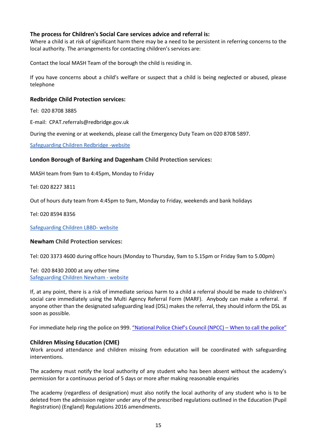## **The process for Children's Social Care services advice and referral is:**

Where a child is at risk of significant harm there may be a need to be persistent in referring concerns to the local authority. The arrangements for contacting children's services are:

Contact the local MASH Team of the borough the child is residing in.

If you have concerns about a child's welfare or suspect that a child is being neglected or abused, please telephone

#### **Redbridge Child Protection services:**

Tel: 020 8708 3885

E-mail: CPAT.referrals@redbridge.gov.uk

During the evening or at weekends, please call the Emergency Duty Team on 020 8708 5897.

[Safeguarding Children Redbridge -website](https://www.redbridge.gov.uk/adult-and-childrens-services/child-protection/)

#### **London Borough of Barking and Dagenham Child Protection services:**

MASH team from 9am to 4:45pm, Monday to Friday

Tel: 020 8227 3811

Out of hours duty team from 4:45pm to 9am, Monday to Friday, weekends and bank holidays

Tel: 020 8594 8356

[Safeguarding Children LBBD-](https://www.lbbd.gov.uk/report-a-serious-concern-about-a-child-marf-for-professionals) website

#### **Newham Child Protection services:**

Tel: 020 3373 4600 during office hours (Monday to Thursday, 9am to 5.15pm or Friday 9am to 5.00pm)

Tel: 020 8430 2000 at any other time [Safeguarding Children Newham -](https://families.newham.gov.uk/kb5/newham/directory/family.page?familychannel=7) website

If, at any point, there is a risk of immediate serious harm to a child a referral should be made to children's social care immediately using the Multi Agency Referral Form (MARF). Anybody can make a referral. If anyone other than the designated safeguarding lead (DSL) makes the referral, they should inform the DSL as soon as possible.

For immediate help ring the police on 999. ["National Police Chief's Council \(NPCC\) –](https://www.npcc.police.uk/documents/Children%20and%20Young%20people/When%20to%20call%20police%20guidance%20for%20schools%20and%20colleges.pdf) When to call the police"

#### **Children Missing Education (CME)**

Work around attendance and children missing from education will be coordinated with safeguarding interventions.

The academy must notify the local authority of any student who has been absent without the academy's permission for a continuous period of 5 days or more after making reasonable enquiries

The academy (regardless of designation) must also notify the local authority of any student who is to be deleted from the admission register under any of the prescribed regulations outlined in the Education (Pupil Registration) (England) Regulations 2016 amendments.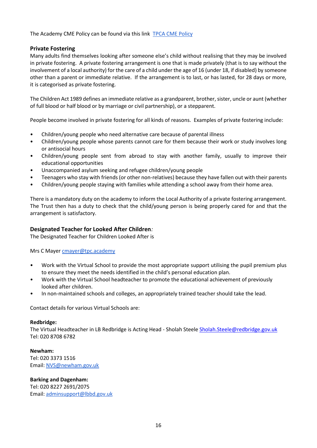The Academy CME Policy can be found via this link [TPCA CME Policy](https://www.tpc.academy/attachments/download.asp?file=1390&type=pdf)

#### **Private Fostering**

Many adults find themselves looking after someone else's child without realising that they may be involved in private fostering. A private fostering arrangement is one that is made privately (that is to say without the involvement of a local authority) for the care of a child under the age of 16 (under 18, if disabled) by someone other than a parent or immediate relative. If the arrangement is to last, or has lasted, for 28 days or more, it is categorised as private fostering.

The Children Act 1989 defines an immediate relative as a grandparent, brother, sister, uncle or aunt (whether of full blood or half blood or by marriage or civil partnership), or a stepparent.

People become involved in private fostering for all kinds of reasons. Examples of private fostering include:

- Children/young people who need alternative care because of parental illness
- Children/young people whose parents cannot care for them because their work or study involves long or antisocial hours
- Children/young people sent from abroad to stay with another family, usually to improve their educational opportunities
- Unaccompanied asylum seeking and refugee children/young people
- Teenagers who stay with friends (or other non-relatives) because they have fallen out with their parents
- Children/young people staying with families while attending a school away from their home area.

There is a mandatory duty on the academy to inform the Local Authority of a private fostering arrangement. The Trust then has a duty to check that the child/young person is being properly cared for and that the arrangement is satisfactory.

## **Designated Teacher for Looked After Children***:*

The Designated Teacher for Children Looked After is

Mrs C Maye[r cmayer@tpc.academy](http://cmayer@tpc.academy)

- Work with the Virtual School to provide the most appropriate support utilising the pupil premium plus to ensure they meet the needs identified in the child's personal education plan.
- Work with the Virtual School headteacher to promote the educational achievement of previously looked after children.
- In non-maintained schools and colleges, an appropriately trained teacher should take the lead.

Contact details for various Virtual Schools are:

#### **Redbridge:**

The Virtual Headteacher in LB Redbridge is Acting Head - Sholah Steele [Sholah.Steele@redbridge.gov.uk](mailto:Sholah.Steele@redbridge.gov.uk) Tel: 020 8708 6782

**Newham:** Tel: 020 3373 1516 Email[: NVS@newham.gov.uk](mailto:NVS@newham.gov.uk)

**Barking and Dagenham:**  Tel: 020 8227 2691/2075 Email[: adminsupport@lbbd.gov.uk](mailto:adminsupport@lbbd.gov.uk)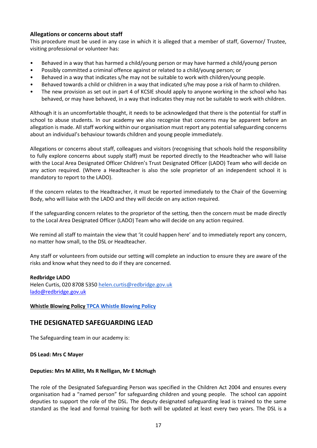## **Allegations or concerns about staff**

This procedure must be used in any case in which it is alleged that a member of staff, Governor/ Trustee, visiting professional or volunteer has:

- Behaved in a way that has harmed a child/young person or may have harmed a child/young person
- Possibly committed a criminal offence against or related to a child/young person; or
- Behaved in a way that indicates s/he may not be suitable to work with children/young people.
- Behaved towards a child or children in a way that indicated s/he may pose a risk of harm to children.
- The new provision as set out in part 4 of KCSIE should apply to anyone working in the school who has behaved, or may have behaved, in a way that indicates they may not be suitable to work with children.

Although it is an uncomfortable thought, it needs to be acknowledged that there is the potential for staff in school to abuse students. In our academy we also recognise that concerns may be apparent before an allegation is made. All staff working within our organisation must report any potential safeguarding concerns about an individual's behaviour towards children and young people immediately.

Allegations or concerns about staff, colleagues and visitors (recognising that schools hold the responsibility to fully explore concerns about supply staff) must be reported directly to the Headteacher who will liaise with the Local Area Designated Officer Children's Trust Designated Officer (LADO) Team who will decide on any action required. (Where a Headteacher is also the sole proprietor of an independent school it is mandatory to report to the LADO).

If the concern relates to the Headteacher, it must be reported immediately to the Chair of the Governing Body, who will liaise with the LADO and they will decide on any action required.

If the safeguarding concern relates to the proprietor of the setting, then the concern must be made directly to the Local Area Designated Officer (LADO) Team who will decide on any action required.

We remind all staff to maintain the view that 'it could happen here' and to immediately report any concern, no matter how small, to the DSL or Headteacher.

Any staff or volunteers from outside our setting will complete an induction to ensure they are aware of the risks and know what they need to do if they are concerned.

#### **Redbridge LADO**

Helen Curtis, 020 8708 5350 [helen.curtis@redbridge.gov.uk](mailto:helen.curtis@redbridge.gov.uk) [lado@redbridge.gov.uk](mailto:lado@redbridge.gov.uk)

## **Whistle Blowing Policy [TPCA Whistle Blowing Policy](https://www.tpc.academy/attachments/download.asp?file=1398&type=pdf)**

# **THE DESIGNATED SAFEGUARDING LEAD**

The Safeguarding team in our academy is:

#### **DS Lead: Mrs C Mayer**

#### **Deputies: Mrs M Allitt, Ms R Nelligan, Mr E McHugh**

The role of the Designated Safeguarding Person was specified in the Children Act 2004 and ensures every organisation had a "named person" for safeguarding children and young people. The school can appoint deputies to support the role of the DSL. The deputy designated safeguarding lead is trained to the same standard as the lead and formal training for both will be updated at least every two years. The DSL is a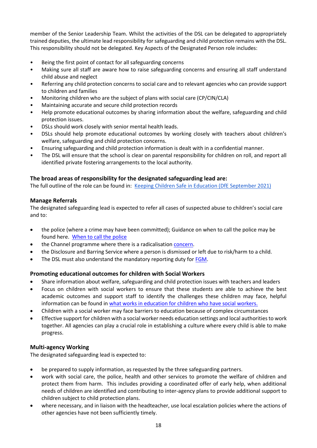member of the Senior Leadership Team. Whilst the activities of the DSL can be delegated to appropriately trained deputies, the ultimate lead responsibility for safeguarding and child protection remains with the DSL. This responsibility should not be delegated. Key Aspects of the Designated Person role includes:

- Being the first point of contact for all safeguarding concerns
- Making sure all staff are aware how to raise safeguarding concerns and ensuring all staff understand child abuse and neglect
- Referring any child protection concerns to social care and to relevant agencies who can provide support to children and families
- Monitoring children who are the subject of plans with social care (CP/CIN/CLA)
- Maintaining accurate and secure child protection records
- Help promote educational outcomes by sharing information about the welfare, safeguarding and child protection issues.
- DSLs should work closely with senior mental health leads.
- DSLs should help promote educational outcomes by working closely with teachers about children's welfare, safeguarding and child protection concerns.
- Ensuring safeguarding and child protection information is dealt with in a confidential manner.
- The DSL will ensure that the school is clear on parental responsibility for children on roll, and report all identified private fostering arrangements to the local authority.

## **The broad areas of responsibility for the designated safeguarding lead are:**

The full outline of the role can be found in: [Keeping Children Safe in Education \(DfE September 2021\)](https://assets.publishing.service.gov.uk/government/uploads/system/uploads/attachment_data/file/1021914/KCSIE_2021_September_guidance.pdf)

## **Manage Referrals**

The designated safeguarding lead is expected to refer all cases of suspected abuse to children's social care and to:

- the police (where a crime may have been committed); Guidance on when to call the police may be found here. [When to call the police](https://www.npcc.police.uk/documents/Children%20and%20Young%20people/When%20to%20call%20the%20police%20guidance%20for%20schools%20and%20colleges.pdf)
- the Channel programme where there is a radicalisatio[n concern.](https://www.gov.uk/government/publications/channel-guidance)
- the Disclosure and Barring Service where a person is dismissed or left due to risk/harm to a child.
- The DSL must also understand the mandatory reporting duty for [FGM.](https://www.gov.uk/government/publications/mandatory-reporting-of-female-genital-mutilation-procedural-information)

# **Promoting educational outcomes for children with Social Workers**

- Share information about welfare, safeguarding and child protection issues with teachers and leaders
- Focus on children with social workers to ensure that these students are able to achieve the best academic outcomes and support staff to identify the challenges these children may face, helpful information can be found in [what works in education for children who have social workers.](https://mk0safeguardingmluiv.kinstacdn.com/wp-content/uploads/2020/03/WWCSC_what_works_education_children_SWs_Feb20.pdf)
- Children with a social worker may face barriers to education because of complex circumstances
- Effective support for children with a social worker needs education settings and local authorities to work together. All agencies can play a crucial role in establishing a culture where every child is able to make progress.

# **Multi-agency Working**

The designated safeguarding lead is expected to:

- be prepared to supply information, as requested by the three safeguarding partners.
- work with social care, the police, health and other services to promote the welfare of children and protect them from harm. This includes providing a coordinated offer of early help, when additional needs of children are identified and contributing to inter-agency plans to provide additional support to children subject to child protection plans.
- where necessary, and in liaison with the headteacher, use local escalation policies where the actions of other agencies have not been sufficiently timely.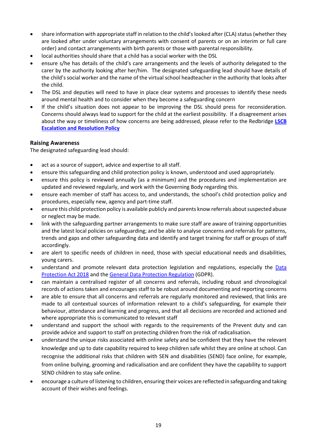- share information with appropriate staff in relation to the child's looked after (CLA) status (whether they are looked after under voluntary arrangements with consent of parents or on an interim or full care order) and contact arrangements with birth parents or those with parental responsibility.
- local authorities should share that a child has a social worker with the DSL
- ensure s/he has details of the child's care arrangements and the levels of authority delegated to the carer by the authority looking after her/him. The designated safeguarding lead should have details of the child's social worker and the name of the virtual school headteacher in the authority that looks after the child.
- The DSL and deputies will need to have in place clear systems and processes to identify these needs around mental health and to consider when they become a safeguarding concern
- If the child's situation does not appear to be improving the DSL should press for reconsideration. Concerns should always lead to support for the child at the earliest possibility. If a disagreement arises about the way or timeliness of how concerns are being addressed, please refer to the Redbridge **[LSCB](https://www.redbridgescp.org.uk/wp-content/uploads/2019/06/Redbridge-LSCB-Escalation-and-Resolution-Policy-3rd-Edition-May-2019-Final.pdf)  [Escalation and Resolution Policy](https://www.redbridgescp.org.uk/wp-content/uploads/2019/06/Redbridge-LSCB-Escalation-and-Resolution-Policy-3rd-Edition-May-2019-Final.pdf)**

#### **Raising Awareness**

The designated safeguarding lead should:

- act as a source of support, advice and expertise to all staff.
- ensure this safeguarding and child protection policy is known, understood and used appropriately.
- ensure this policy is reviewed annually (as a minimum) and the procedures and implementation are updated and reviewed regularly, and work with the Governing Body regarding this.
- ensure each member of staff has access to, and understands, the school's child protection policy and procedures, especially new, agency and part-time staff.
- ensure this child protection policy is available publicly and parents know referrals about suspected abuse or neglect may be made.
- link with the safeguarding partner arrangements to make sure staff are aware of training opportunities and the latest local policies on safeguarding; and be able to analyse concerns and referrals for patterns, trends and gaps and other safeguarding data and identify and target training for staff or groups of staff accordingly.
- are alert to specific needs of children in need, those with special educational needs and disabilities, young carers.
- understand and promote relevant data protection legislation and regulations, especially the [Data](http://www.legislation.gov.uk/ukpga/2018/12/contents/enacted)  [Protection Act 2018](http://www.legislation.gov.uk/ukpga/2018/12/contents/enacted) and the [General Data Protection Regulation](https://ico.org.uk/for-organisations/guide-to-data-protection/guide-to-the-general-data-protection-regulation-gdpr/) (GDPR).
- can maintain a centralised register of all concerns and referrals, including robust and chronological records of actions taken and encourages staff to be robust around documenting and reporting concerns
- are able to ensure that all concerns and referrals are regularly monitored and reviewed, that links are made to all contextual sources of information relevant to a child's safeguarding, for example their behaviour, attendance and learning and progress, and that all decisions are recorded and actioned and where appropriate this is communicated to relevant staff
- understand and support the school with regards to the requirements of the Prevent duty and can provide advice and support to staff on protecting children from the risk of radicalisation.
- understand the unique risks associated with online safety and be confident that they have the relevant knowledge and up to date capability required to keep children safe whilst they are online at school. Can recognise the additional risks that children with SEN and disabilities (SEND) face online, for example, from online bullying, grooming and radicalisation and are confident they have the capability to support SEND children to stay safe online.
- encourage a culture of listening to children, ensuring their voices are reflected in safeguarding and taking account of their wishes and feelings.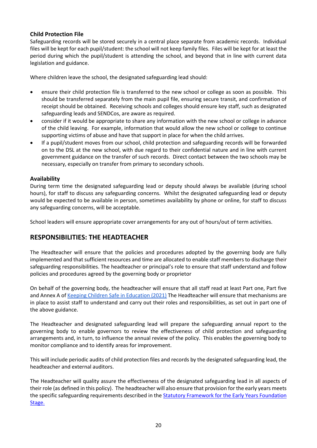## **Child Protection File**

Safeguarding records will be stored securely in a central place separate from academic records. Individual files will be kept for each pupil/student: the school will not keep family files. Files will be kept for at least the period during which the pupil/student is attending the school, and beyond that in line with current data legislation and guidance.

Where children leave the school, the designated safeguarding lead should:

- ensure their child protection file is transferred to the new school or college as soon as possible. This should be transferred separately from the main pupil file, ensuring secure transit, and confirmation of receipt should be obtained. Receiving schools and colleges should ensure key staff, such as designated safeguarding leads and SENDCos, are aware as required.
- consider if it would be appropriate to share any information with the new school or college in advance of the child leaving. For example, information that would allow the new school or college to continue supporting victims of abuse and have that support in place for when the child arrives.
- If a pupil/student moves from our school, child protection and safeguarding records will be forwarded on to the DSL at the new school, with due regard to their confidential nature and in line with current government guidance on the transfer of such records. Direct contact between the two schools may be necessary, especially on transfer from primary to secondary schools.

## **Availability**

During term time the designated safeguarding lead or deputy should always be available (during school hours), for staff to discuss any safeguarding concerns. Whilst the designated safeguarding lead or deputy would be expected to be available in person, sometimes availability by phone or online, for staff to discuss any safeguarding concerns, will be acceptable.

School leaders will ensure appropriate cover arrangements for any out of hours/out of term activities.

# **RESPONSIBILITIES: THE HEADTEACHER**

The Headteacher will ensure that the policies and procedures adopted by the governing body are fully implemented and that sufficient resources and time are allocated to enable staff members to discharge their safeguarding responsibilities. The headteacher or principal's role to ensure that staff understand and follow policies and procedures agreed by the governing body or proprietor

On behalf of the governing body, the headteacher will ensure that all staff read at least Part one, Part five and Annex A of [Keeping Children Safe in Education \(2021\)](https://assets.publishing.service.gov.uk/government/uploads/system/uploads/attachment_data/file/1021914/KCSIE_2021_September_guidance.pdf) The Headteacher will ensure that mechanisms are in place to assist staff to understand and carry out their roles and responsibilities, as set out in part one of the above guidance.

The Headteacher and designated safeguarding lead will prepare the safeguarding annual report to the governing body to enable governors to review the effectiveness of child protection and safeguarding arrangements and, in turn, to influence the annual review of the policy. This enables the governing body to monitor compliance and to identify areas for improvement.

This will include periodic audits of child protection files and records by the designated safeguarding lead, the headteacher and external auditors.

The Headteacher will quality assure the effectiveness of the designated safeguarding lead in all aspects of their role (as defined in this policy). The headteacher will also ensure that provision for the early years meets the specific safeguarding requirements described in the Statutory Framework for the Early Years Foundation [Stage.](https://assets.publishing.service.gov.uk/government/uploads/system/uploads/attachment_data/file/974907/EYFS_framework_-_March_2021.pdf)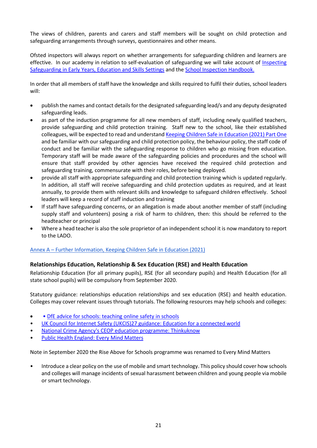The views of children, parents and carers and staff members will be sought on child protection and safeguarding arrangements through surveys, questionnaires and other means.

Ofsted inspectors will always report on whether arrangements for safeguarding children and learners are effective. In our academy in relation to self-evaluation of safeguarding we will take account of [Inspecting](https://www.gov.uk/government/publications/inspecting-safeguarding-in-early-years-education-and-skills/inspecting-safeguarding-in-early-years-education-and-skills)  [Safeguarding in Early Years, Education and Skills Settings](https://www.gov.uk/government/publications/inspecting-safeguarding-in-early-years-education-and-skills/inspecting-safeguarding-in-early-years-education-and-skills) and the [School Inspection Handbook.](https://www.gov.uk/government/publications/school-inspection-handbook-eif/schools-inspection-handbook-for-september-2021)

In order that all members of staff have the knowledge and skills required to fulfil their duties, school leaders will:

- publish the names and contact details for the designated safeguarding lead/s and any deputy designated safeguarding leads.
- as part of the induction programme for all new members of staff, including newly qualified teachers, provide safeguarding and child protection training. Staff new to the school, like their established colleagues, will be expected to read and understan[d Keeping Children Safe in Education \(2021\) Part One](https://assets.publishing.service.gov.uk/government/uploads/system/uploads/attachment_data/file/912593/Keeping_children_safe_in_education_part_1_Sep_2020.pdf) and be familiar with our safeguarding and child protection policy, the behaviour policy, the staff code of conduct and be familiar with the safeguarding response to children who go missing from education. Temporary staff will be made aware of the safeguarding policies and procedures and the school will ensure that staff provided by other agencies have received the required child protection and safeguarding training, commensurate with their roles, before being deployed.
- provide all staff with appropriate safeguarding and child protection training which is updated regularly. In addition, all staff will receive safeguarding and child protection updates as required, and at least annually, to provide them with relevant skills and knowledge to safeguard children effectively. School leaders will keep a record of staff induction and training
- If staff have safeguarding concerns, or an allegation is made about another member of staff (including supply staff and volunteers) posing a risk of harm to children, then: this should be referred to the headteacher or principal
- Where a head teacher is also the sole proprietor of an independent school it is now mandatory to report to the LADO.

## Annex A – [Further Information, Keeping Children Safe in Education \(2021\)](https://assets.publishing.service.gov.uk/government/uploads/system/uploads/attachment_data/file/1021914/KCSIE_2021_September_guidance.pdf)

## **Relationships Education, Relationship & Sex Education (RSE) and Health Education**

Relationship Education (for all primary pupils), RSE (for all secondary pupils) and Health Education (for all state school pupils) will be compulsory from September 2020.

Statutory guidance: relationships education relationships and sex education (RSE) and health education. Colleges may cover relevant issues through tutorials. The following resources may help schools and colleges:

- [DfE advice for schools: teaching online safety in schools](https://assets.publishing.service.gov.uk/government/uploads/system/uploads/attachment_data/file/811796/Teaching_online_safety_in_school.pdf)
- [UK Council for Internet Safety \(UKCIS\)27 guidance: Education for a connected world](https://assets.publishing.service.gov.uk/government/uploads/system/uploads/attachment_data/file/896323/UKCIS_Education_for_a_Connected_World_.pdf)
- [National Crime Agency's CEOP education programme: Thinkuknow](https://www.thinkuknow.co.uk/parents/who-are-we/)
- [Public Health England: Every Mind Matters](https://campaignresources.phe.gov.uk/schools/topics/mental-wellbeing/overview)

Note in September 2020 the Rise Above for Schools programme was renamed to Every Mind Matters

• Introduce a clear policy on the use of mobile and smart technology. This policy should cover how schools and colleges will manage incidents of sexual harassment between children and young people via mobile or smart technology.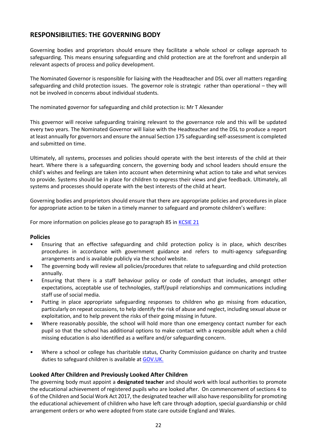# **RESPONSIBILITIES: THE GOVERNING BODY**

Governing bodies and proprietors should ensure they facilitate a whole school or college approach to safeguarding. This means ensuring safeguarding and child protection are at the forefront and underpin all relevant aspects of process and policy development.

The Nominated Governor is responsible for liaising with the Headteacher and DSL over all matters regarding safeguarding and child protection issues. The governor role is strategic rather than operational – they will not be involved in concerns about individual students.

The nominated governor for safeguarding and child protection is: Mr T Alexander

This governor will receive safeguarding training relevant to the governance role and this will be updated every two years. The Nominated Governor will liaise with the Headteacher and the DSL to produce a report at least annually for governors and ensure the annual Section 175 safeguarding self-assessment is completed and submitted on time.

Ultimately, all systems, processes and policies should operate with the best interests of the child at their heart. Where there is a safeguarding concern, the governing body and school leaders should ensure the child's wishes and feelings are taken into account when determining what action to take and what services to provide. Systems should be in place for children to express their views and give feedback. Ultimately, all systems and processes should operate with the best interests of the child at heart.

Governing bodies and proprietors should ensure that there are appropriate policies and procedures in place for appropriate action to be taken in a timely manner to safeguard and promote children's welfare:

For more information on policies please go to paragraph 85 in **KCSIE 21** 

## **Policies**

- Ensuring that an effective safeguarding and child protection policy is in place, which describes procedures in accordance with government guidance and refers to multi-agency safeguarding arrangements and is available publicly via the school website.
- The governing body will review all policies/procedures that relate to safeguarding and child protection annually.
- Ensuring that there is a staff behaviour policy or code of conduct that includes, amongst other expectations, acceptable use of technologies, staff/pupil relationships and communications including staff use of social media.
- Putting in place appropriate safeguarding responses to children who go missing from education, particularly on repeat occasions, to help identify the risk of abuse and neglect, including sexual abuse or exploitation, and to help prevent the risks of their going missing in future.
- Where reasonably possible, the school will hold more than one emergency contact number for each pupil so that the school has additional options to make contact with a responsible adult when a child missing education is also identified as a welfare and/or safeguarding concern.
- Where a school or college has charitable status, Charity Commission guidance on charity and trustee duties to safeguard children is available at [GOV.UK.](https://www.gov.uk/guidance/safeguarding-duties-for-charity-trustees)

## **Looked After Children and Previously Looked After Children**

The governing body must appoint a **designated teacher** and should work with local authorities to promote the educational achievement of registered pupils who are looked after. On commencement of sections 4 to 6 of the Children and Social Work Act 2017, the designated teacher will also have responsibility for promoting the educational achievement of children who have left care through adoption, special guardianship or child arrangement orders or who were adopted from state care outside England and Wales.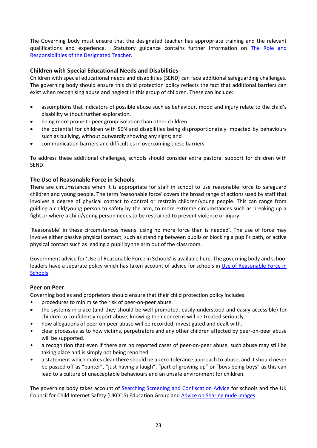The Governing body must ensure that the designated teacher has appropriate training and the relevant qualifications and experience. Statutory guidance contains further information on [The Role and](https://assets.publishing.service.gov.uk/government/uploads/system/uploads/attachment_data/file/683561/The_designated_teacher_for_looked-after_and_previously_looked-after_children.pdf)  [Responsibilities of the Designated Teacher.](https://assets.publishing.service.gov.uk/government/uploads/system/uploads/attachment_data/file/683561/The_designated_teacher_for_looked-after_and_previously_looked-after_children.pdf)

## **Children with Special Educational Needs and Disabilities**

Children with special educational needs and disabilities (SEND) can face additional safeguarding challenges. The governing body should ensure this child protection policy reflects the fact that additional barriers can exist when recognising abuse and neglect in this group of children. These can include:

- assumptions that indicators of possible abuse such as behaviour, mood and injury relate to the child's disability without further exploration.
- being more prone to peer group isolation than other children.
- the potential for children with SEN and disabilities being disproportionately impacted by behaviours such as bullying, without outwardly showing any signs; and
- communication barriers and difficulties in overcoming these barriers.

To address these additional challenges, schools should consider extra pastoral support for children with SEND.

## **The Use of Reasonable Force in Schools**

There are circumstances when it is appropriate for staff in school to use reasonable force to safeguard children and young people. The term 'reasonable force' covers the broad range of actions used by staff that involves a degree of physical contact to control or restrain children/young people. This can range from guiding a child/young person to safety by the arm, to more extreme circumstances such as breaking up a fight or where a child/young person needs to be restrained to prevent violence or injury.

'Reasonable' in these circumstances means 'using no more force than is needed'. The use of force may involve either passive physical contact, such as standing between pupils or blocking a pupil's path, or active physical contact such as leading a pupil by the arm out of the classroom.

Government advice for 'Use of Reasonable Force in Schools' is available here. The governing body and school leaders have a separate policy which has taken account of advice for schools in [Use of Reasonable Force in](https://assets.publishing.service.gov.uk/government/uploads/system/uploads/attachment_data/file/444051/Use_of_reasonable_force_advice_Reviewed_July_2015.pdf)  [Schools.](https://assets.publishing.service.gov.uk/government/uploads/system/uploads/attachment_data/file/444051/Use_of_reasonable_force_advice_Reviewed_July_2015.pdf)

## **Peer on Peer**

Governing bodies and proprietors should ensure that their child protection policy includes:

- procedures to minimise the risk of peer-on-peer abuse.
- the systems in place (and they should be well promoted, easily understood and easily accessible) for children to confidently report abuse, knowing their concerns will be treated seriously.
- how allegations of peer-on-peer abuse will be recorded, investigated and dealt with.
- clear processes as to how victims, perpetrators and any other children affected by peer-on-peer abuse will be supported.
- a recognition that even if there are no reported cases of peer-on-peer abuse, such abuse may still be taking place and is simply not being reported.
- a statement which makes clear there should be a zero-tolerance approach to abuse, and it should never be passed off as "banter", "just having a laugh", "part of growing up" or "boys being boys" as this can lead to a culture of unacceptable behaviours and an unsafe environment for children.

The governing body takes account of [Searching Screening and Confiscation Advice](https://assets.publishing.service.gov.uk/government/uploads/system/uploads/attachment_data/file/674416/Searching_screening_and_confiscation.pdf) for schools and the UK Council for Child Internet Safety (UKCCIS) Education Group and [Advice on Sharing nude images](https://www.gov.uk/government/publications/sharing-nudes-and-semi-nudes-advice-for-education-settings-working-with-children-and-young-people/sharing-nudes-and-semi-nudes-advice-for-education-settings-working-with-children-and-young-people)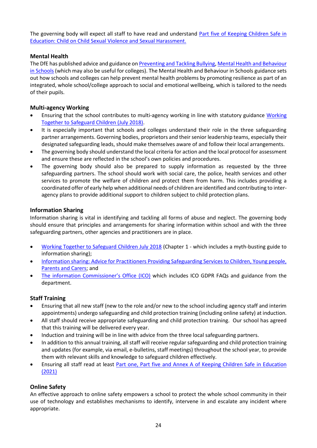The governing body will expect all staff to have read and understand [Part five of Keeping Children Safe in](https://assets.publishing.service.gov.uk/government/uploads/system/uploads/attachment_data/file/954314/Keeping_children_safe_in_education_2020_-_Update_-_January_2021.pdf)  [Education: Child on Child Sexual Violence and Sexual Harassment.](https://assets.publishing.service.gov.uk/government/uploads/system/uploads/attachment_data/file/954314/Keeping_children_safe_in_education_2020_-_Update_-_January_2021.pdf)

## **Mental Health**

The DfE has published advice and guidance o[n Preventing and Tackling Bullying,](https://assets.publishing.service.gov.uk/government/uploads/system/uploads/attachment_data/file/623895/Preventing_and_tackling_bullying_advice.pdf) [Mental Health and Behaviour](https://assets.publishing.service.gov.uk/government/uploads/system/uploads/attachment_data/file/755135/Mental_health_and_behaviour_in_schools__.pdf)  [in Schools](https://assets.publishing.service.gov.uk/government/uploads/system/uploads/attachment_data/file/755135/Mental_health_and_behaviour_in_schools__.pdf) (which may also be useful for colleges). The Mental Health and Behaviour in Schools guidance sets out how schools and colleges can help prevent mental health problems by promoting resilience as part of an integrated, whole school/college approach to social and emotional wellbeing, which is tailored to the needs of their pupils.

## **Multi-agency Working**

- Ensuring that the school contributes to multi-agency working in line with statutory guidance [Working](https://assets.publishing.service.gov.uk/government/uploads/system/uploads/attachment_data/file/729914/Working_Together_to_Safeguard_Children-2018.pdf)  [Together to Safeguard Children \(July 2018\).](https://assets.publishing.service.gov.uk/government/uploads/system/uploads/attachment_data/file/729914/Working_Together_to_Safeguard_Children-2018.pdf)
- It is especially important that schools and colleges understand their role in the three safeguarding partner arrangements. Governing bodies, proprietors and their senior leadership teams, especially their designated safeguarding leads, should make themselves aware of and follow their local arrangements.
- The governing body should understand the local criteria for action and the local protocol for assessment and ensure these are reflected in the school's own policies and procedures.
- The governing body should also be prepared to supply information as requested by the three safeguarding partners. The school should work with social care, the police, health services and other services to promote the welfare of children and protect them from harm. This includes providing a coordinated offer of early help when additional needs of children are identified and contributing to interagency plans to provide additional support to children subject to child protection plans.

## **Information Sharing**

Information sharing is vital in identifying and tackling all forms of abuse and neglect. The governing body should ensure that principles and arrangements for sharing information within school and with the three safeguarding partners, other agencies and practitioners are in place.

- [Working Together to Safeguard Children July 2018](https://assets.publishing.service.gov.uk/government/uploads/system/uploads/attachment_data/file/729914/Working_Together_to_Safeguard_Children-2018.pdf) (Chapter 1 which includes a myth-busting guide to information sharing);
- [Information sharing: Advice for Practitioners Providing Safeguarding Services to Children, Young people,](https://assets.publishing.service.gov.uk/government/uploads/system/uploads/attachment_data/file/721581/Information_sharing_advice_practitioners_safeguarding_services.pdf)  [Parents and Carers;](https://assets.publishing.service.gov.uk/government/uploads/system/uploads/attachment_data/file/721581/Information_sharing_advice_practitioners_safeguarding_services.pdf) and
- [The information Commissioner's Office \(ICO\)](https://ico.org.uk/) which includes ICO GDPR FAQs and guidance from the department.

## **Staff Training**

- Ensuring that all new staff (new to the role and/or new to the school including agency staff and interim appointments) undergo safeguarding and child protection training (including online safety) at induction.
- All staff should receive appropriate safeguarding and child protection training. Our school has agreed that this training will be delivered every year.
- Induction and training will be in line with advice from the three local safeguarding partners.
- In addition to this annual training, all staff will receive regular safeguarding and child protection training and updates (for example, via email, e-bulletins, staff meetings) throughout the school year, to provide them with relevant skills and knowledge to safeguard children effectively.
- Ensuring all staff read at least Part [one, Part five and Annex A of Keeping Children Safe in Education](https://assets.publishing.service.gov.uk/government/uploads/system/uploads/attachment_data/file/954314/Keeping_children_safe_in_education_2020_-_Update_-_January_2021.pdf)  [\(2021\)](https://assets.publishing.service.gov.uk/government/uploads/system/uploads/attachment_data/file/954314/Keeping_children_safe_in_education_2020_-_Update_-_January_2021.pdf)

## **Online Safety**

An effective approach to online safety empowers a school to protect the whole school community in their use of technology and establishes mechanisms to identify, intervene in and escalate any incident where appropriate.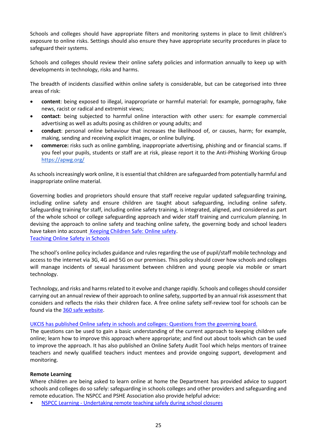Schools and colleges should have appropriate filters and monitoring systems in place to limit children's exposure to online risks. Settings should also ensure they have appropriate security procedures in place to safeguard their systems.

Schools and colleges should review their online safety policies and information annually to keep up with developments in technology, risks and harms.

The breadth of incidents classified within online safety is considerable, but can be categorised into three areas of risk:

- **content**: being exposed to illegal, inappropriate or harmful material: for example, pornography, fake news, racist or radical and extremist views;
- **contact**: being subjected to harmful online interaction with other users: for example commercial advertising as well as adults posing as children or young adults; and
- **conduct**: personal online behaviour that increases the likelihood of, or causes, harm; for example, making, sending and receiving explicit images, or online bullying.
- **commerce:** risks such as online gambling, inappropriate advertising, phishing and or financial scams. If you feel your pupils, students or staff are at risk, please report it to the Anti-Phishing Working Group <https://apwg.org/>

As schools increasingly work online, it is essential that children are safeguarded from potentially harmful and inappropriate online material.

Governing bodies and proprietors should ensure that staff receive regular updated safeguarding training, including online safety and ensure children are taught about safeguarding, including online safety. Safeguarding training for staff, including online safety training, is integrated, aligned, and considered as part of the whole school or college safeguarding approach and wider staff training and curriculum planning. In devising the approach to online safety and teaching online safety, the governing body and school leaders have taken into accoun[t Keeping Children Safe: Online safety.](https://assets.publishing.service.gov.uk/government/uploads/system/uploads/attachment_data/file/828312/Keeping_children_safe_in_education.pdf) [Teaching Online Safety in Schools](https://assets.publishing.service.gov.uk/government/uploads/system/uploads/attachment_data/file/811796/Teaching_online_safety_in_school.pdf)

The school's online policy includes guidance and rules regarding the use of pupil/staff mobile technology and access to the internet via 3G, 4G and 5G on our premises. This policy should cover how schools and colleges will manage incidents of sexual harassment between children and young people via mobile or smart technology.

Technology, and risks and harms related to it evolve and change rapidly. Schools and colleges should consider carrying out an annual review of their approach to online safety, supported by an annual risk assessment that considers and reflects the risks their children face. A free online safety self-review tool for schools can be found via the [360 safe website.](https://360safe.org.uk/)

#### [UKCIS has published Online safety in schools and colleges: Questions from the governing board.](https://www.gov.uk/government/publications/online-safety-in-schools-and-colleges-questions-from-the-governing-board)

The questions can be used to gain a basic understanding of the current approach to keeping children safe online; learn how to improve this approach where appropriate; and find out about tools which can be used to improve the approach. It has also published an Online Safety Audit Tool which helps mentors of trainee teachers and newly qualified teachers induct mentees and provide ongoing support, development and monitoring.

#### **Remote Learning**

Where children are being asked to learn online at home the Department has provided advice to support schools and colleges do so safely: safeguarding in schools colleges and other providers and safeguarding and remote education. The NSPCC and PSHE Association also provide helpful advice:

• NSPCC Learning - [Undertaking remote teaching safely during school closures](https://learning.nspcc.org.uk/news/covid/undertaking-remote-teaching-safely)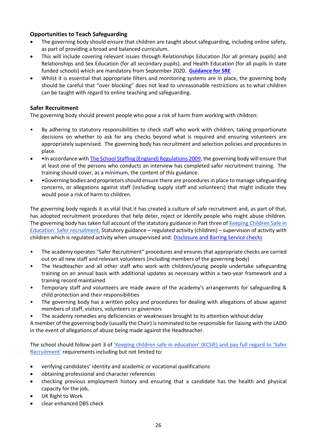# **Opportunities to Teach Safeguarding**

- The governing body should ensure that children are taught about safeguarding, including online safety, as part of providing a broad and balanced curriculum.
- This will include covering relevant issues through Relationships Education (for all primary pupils) and Relationships and Sex Education (for all secondary pupils), and Health Education (for all pupils in state funded schools) which are mandatory from September 2020. **[Guidance for SRE](https://assets.publishing.service.gov.uk/government/uploads/system/uploads/attachment_data/file/805781/Relationships_Education__Relationships_and_Sex_Education__RSE__and_Health_Education.pdf)**
- Whilst it is essential that appropriate filters and monitoring systems are in place, the governing body should be careful that "over blocking" does not lead to unreasonable restrictions as to what children can be taught with regard to online teaching and safeguarding.

## **Safer Recruitment**

The governing body should prevent people who pose a risk of harm from working with children:

- By adhering to statutory responsibilities to check staff who work with children, taking proportionate decisions on whether to ask for any checks beyond what is required and ensuring volunteers are appropriately supervised. The governing body has recruitment and selection policies and procedures in place.
- • In accordance with [The School Staffing \(England\) Regulations 2009,](https://www.legislation.gov.uk/uksi/2009/2680/contents/made) the governing body will ensure that at least one of the persons who conducts an interview has completed safer recruitment training. The training should cover, as a minimum, the content of this guidance.
- •Governing bodies and proprietors should ensure there are procedures in place to manage safeguarding concerns, or allegations against staff (including supply staff and volunteers) that might indicate they would pose a risk of harm to children.

The governing body regards it as vital that it has created a culture of safe recruitment and, as part of that, has adopted recruitment procedures that help deter, reject or identify people who might abuse children. The governing body has taken full account of the statutory guidance in Part three of [Keeping Children Safe in](https://assets.publishing.service.gov.uk/government/uploads/system/uploads/attachment_data/file/1021914/KCSIE_2021_September_guidance.pdf)  [Education: Safer recruitment,](https://assets.publishing.service.gov.uk/government/uploads/system/uploads/attachment_data/file/1021914/KCSIE_2021_September_guidance.pdf) Statutory guidance – regulated activity (children) – supervision of activity with children which is regulated activity when unsupervised and: [Disclosure and Barring Service checks](https://www.gov.uk/government/organisations/disclosure-and-barring-service)

- The academy operates "Safer Recruitment" procedures and ensures that appropriate checks are carried out on all new staff and relevant volunteers (including members of the governing body)
- The Headteacher and all other staff who work with children/young people undertake safeguarding training on an annual basis with additional updates as necessary within a two-year framework and a training record maintained
- Temporary staff and volunteers are made aware of the academy's arrangements for safeguarding & child protection and their responsibilities
- The governing body has a written policy and procedures for dealing with allegations of abuse against members of staff, visitors, volunteers or governors
- The academy remedies any deficiencies or weaknesses brought to its attention without delay

A member of the governing body (usually the Chair) is nominated to be responsible for liaising with the LADO in the event of allegations of abuse being made against the Headteacher.

The school should follow part 3 of 'Keeping children safe in education' (KCSIE) and pay full regard to 'Safer [Recruitment'](https://assets.publishing.service.gov.uk/government/uploads/system/uploads/attachment_data/file/1021914/KCSIE_2021_September_guidance.pdf) requirements including but not limited to:

- verifying candidates' identity and academic or vocational qualifications
- obtaining professional and character references
- checking previous employment history and ensuring that a candidate has the health and physical capacity for the job,
- UK Right to Work
- clear enhanced DBS check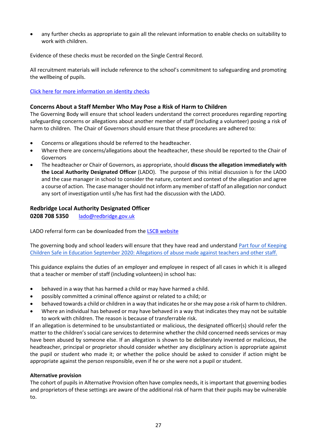• any further checks as appropriate to gain all the relevant information to enable checks on suitability to work with children.

Evidence of these checks must be recorded on the Single Central Record.

All recruitment materials will include reference to the school's commitment to safeguarding and promoting the wellbeing of pupils.

#### [Click here for more information on identity checks](https://www.gov.uk/government/publications/identity-proofing-and-verification-of-an-individual)

#### **Concerns About a Staff Member Who May Pose a Risk of Harm to Children**

The Governing Body will ensure that school leaders understand the correct procedures regarding reporting safeguarding concerns or allegations about another member of staff (including a volunteer) posing a risk of harm to children. The Chair of Governors should ensure that these procedures are adhered to:

- Concerns or allegations should be referred to the headteacher.
- Where there are concerns/allegations about the headteacher, these should be reported to the Chair of Governors
- The headteacher or Chair of Governors, as appropriate, should **discuss the allegation immediately with the Local Authority Designated Officer** (LADO). The purpose of this initial discussion is for the LADO and the case manager in school to consider the nature, content and context of the allegation and agree a course of action. The case manager should not inform any member of staff of an allegation nor conduct any sort of investigation until s/he has first had the discussion with the LADO.

#### **Redbridge Local Authority Designated Officer**

**0208 708 5350** [lado@redbridge.gov.uk](mailto:lado@redbridge.gov.uk)

LADO referral form can be downloaded from the [LSCB website](https://www.redbridgescp.org.uk/professionals/managing-allegations-against-staff/)

The governing body and school leaders will ensure that they have read and understand Part four of Keeping [Children Safe in Education September 2020: Allegations of abuse made against teachers and other](https://assets.publishing.service.gov.uk/government/uploads/system/uploads/attachment_data/file/1021914/KCSIE_2021_September_guidance.pdf) staff.

This guidance explains the duties of an employer and employee in respect of all cases in which it is alleged that a teacher or member of staff (including volunteers) in school has:

- behaved in a way that has harmed a child or may have harmed a child.
- possibly committed a criminal offence against or related to a child; or
- behaved towards a child or children in a way that indicates he or she may pose a risk of harm to children.
- Where an individual has behaved or may have behaved in a way that indicates they may not be suitable to work with children. The reason is because of transferrable risk.

If an allegation is determined to be unsubstantiated or malicious, the designated officer(s) should refer the matter to the children's social care services to determine whether the child concerned needs services or may have been abused by someone else. If an allegation is shown to be deliberately invented or malicious, the headteacher, principal or proprietor should consider whether any disciplinary action is appropriate against the pupil or student who made it; or whether the police should be asked to consider if action might be appropriate against the person responsible, even if he or she were not a pupil or student.

#### **Alternative provision**

The cohort of pupils in Alternative Provision often have complex needs, it is important that governing bodies and proprietors of these settings are aware of the additional risk of harm that their pupils may be vulnerable to.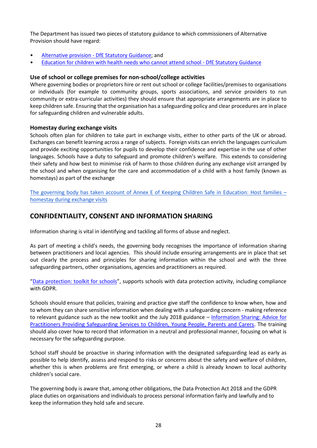The Department has issued two pieces of statutory guidance to which commissioners of Alternative Provision should have regard:

- Alternative provision [DfE Statutory Guidance;](https://assets.publishing.service.gov.uk/government/uploads/system/uploads/attachment_data/file/942014/alternative_provision_statutory_guidance_accessible.pdf) and
- [Education for children with health needs who](https://assets.publishing.service.gov.uk/government/uploads/system/uploads/attachment_data/file/941900/health_needs_guidance_accessible.pdf) cannot attend school DfE Statutory Guidance

#### **Use of school or college premises for non-school/college activities**

Where governing bodies or proprietors hire or rent out school or college facilities/premises to organisations or individuals (for example to community groups, sports associations, and service providers to run community or extra-curricular activities) they should ensure that appropriate arrangements are in place to keep children safe. Ensuring that the organisation has a safeguarding policy and clear procedures are in place for safeguarding children and vulnerable adults.

#### **Homestay during exchange visits**

Schools often plan for children to take part in exchange visits, either to other parts of the UK or abroad. Exchanges can benefit learning across a range of subjects. Foreign visits can enrich the languages curriculum and provide exciting opportunities for pupils to develop their confidence and expertise in the use of other languages. Schools have a duty to safeguard and promote children's welfare. This extends to considering their safety and how best to minimise risk of harm to those children during any exchange visit arranged by the school and when organising for the care and accommodation of a child with a host family (known as homestays) as part of the exchange

[The governing body has taken account of Annex E of Keeping Children Safe in Education: Host families](https://assets.publishing.service.gov.uk/government/uploads/system/uploads/attachment_data/file/1021914/KCSIE_2021_September_guidance.pdf) – [homestay during exchange visits](https://assets.publishing.service.gov.uk/government/uploads/system/uploads/attachment_data/file/1021914/KCSIE_2021_September_guidance.pdf)

# **CONFIDENTIALITY, CONSENT AND INFORMATION SHARING**

Information sharing is vital in identifying and tackling all forms of abuse and neglect.

As part of meeting a child's needs, the governing body recognises the importance of information sharing between practitioners and local agencies. This should include ensuring arrangements are in place that set out clearly the process and principles for sharing information within the school and with the three safeguarding partners, other organisations, agencies and practitioners as required.

"[Data protection: toolkit for schools](https://assets.publishing.service.gov.uk/government/uploads/system/uploads/attachment_data/file/747620/Data_Protection_Toolkit_for_Schools_OpenBeta.pdf)", supports schools with data protection activity, including compliance with GDPR.

Schools should ensure that policies, training and practice give staff the confidence to know when, how and to whom they can share sensitive information when dealing with a safeguarding concern - making reference to relevant guidance such as the new toolkit and the July 2018 guidance - Information Sharing: Advice for [Practitioners Providing Safeguarding Services to Children, Young People, Parents and Carers.](https://assets.publishing.service.gov.uk/government/uploads/system/uploads/attachment_data/file/721581/Information_sharing_advice_practitioners_safeguarding_services.pdf) The training should also cover how to record that information in a neutral and professional manner, focusing on what is necessary for the safeguarding purpose.

School staff should be proactive in sharing information with the designated safeguarding lead as early as possible to help identify, assess and respond to risks or concerns about the safety and welfare of children, whether this is when problems are first emerging, or where a child is already known to local authority children's social care.

The governing body is aware that, among other obligations, the Data Protection Act 2018 and the GDPR place duties on organisations and individuals to process personal information fairly and lawfully and to keep the information they hold safe and secure.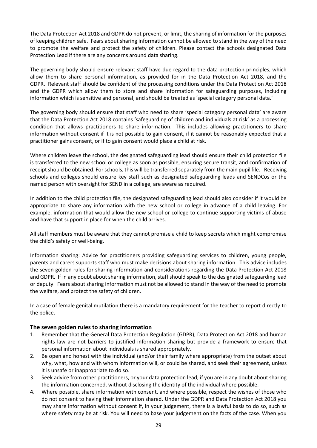The Data Protection Act 2018 and GDPR do not prevent, or limit, the sharing of information for the purposes of keeping children safe. Fears about sharing information cannot be allowed to stand in the way of the need to promote the welfare and protect the safety of children. Please contact the schools designated Data Protection Lead if there are any concerns around data sharing.

The governing body should ensure relevant staff have due regard to the data protection principles, which allow them to share personal information, as provided for in the Data Protection Act 2018, and the GDPR. Relevant staff should be confident of the processing conditions under the Data Protection Act 2018 and the GDPR which allow them to store and share information for safeguarding purposes, including information which is sensitive and personal, and should be treated as 'special category personal data.'

The governing body should ensure that staff who need to share 'special category personal data' are aware that the Data Protection Act 2018 contains 'safeguarding of children and individuals at risk' as a processing condition that allows practitioners to share information. This includes allowing practitioners to share information without consent if it is not possible to gain consent, if it cannot be reasonably expected that a practitioner gains consent, or if to gain consent would place a child at risk.

Where children leave the school, the designated safeguarding lead should ensure their child protection file is transferred to the new school or college as soon as possible, ensuring secure transit, and confirmation of receipt should be obtained. For schools, this will be transferred separately from the main pupil file. Receiving schools and colleges should ensure key staff such as designated safeguarding leads and SENDCos or the named person with oversight for SEND in a college, are aware as required.

In addition to the child protection file, the designated safeguarding lead should also consider if it would be appropriate to share any information with the new school or college in advance of a child leaving. For example, information that would allow the new school or college to continue supporting victims of abuse and have that support in place for when the child arrives.

All staff members must be aware that they cannot promise a child to keep secrets which might compromise the child's safety or well-being.

Information sharing: Advice for practitioners providing safeguarding services to children, young people, parents and carers supports staff who must make decisions about sharing information. This advice includes the seven golden rules for sharing information and considerations regarding the Data Protection Act 2018 and GDPR. If in any doubt about sharing information, staff should speak to the designated safeguarding lead or deputy. Fears about sharing information must not be allowed to stand in the way of the need to promote the welfare, and protect the safety of children.

In a case of female genital mutilation there is a mandatory requirement for the teacher to report directly to the police.

## **The seven golden rules to sharing information**

- 1. Remember that the General Data Protection Regulation (GDPR), Data Protection Act 2018 and human rights law are not barriers to justified information sharing but provide a framework to ensure that personal information about individuals is shared appropriately.
- 2. Be open and honest with the individual (and/or their family where appropriate) from the outset about why, what, how and with whom information will, or could be shared, and seek their agreement, unless it is unsafe or inappropriate to do so.
- 3. Seek advice from other practitioners, or your data protection lead, if you are in any doubt about sharing the information concerned, without disclosing the identity of the individual where possible.
- 4. Where possible, share information with consent, and where possible, respect the wishes of those who do not consent to having their information shared. Under the GDPR and Data Protection Act 2018 you may share information without consent if, in your judgement, there is a lawful basis to do so, such as where safety may be at risk. You will need to base your judgement on the facts of the case. When you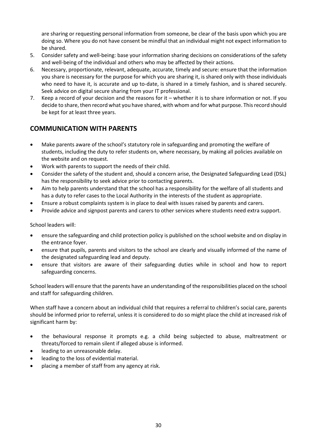are sharing or requesting personal information from someone, be clear of the basis upon which you are doing so. Where you do not have consent be mindful that an individual might not expect information to be shared.

- 5. Consider safety and well-being: base your information sharing decisions on considerations of the safety and well-being of the individual and others who may be affected by their actions.
- 6. Necessary, proportionate, relevant, adequate, accurate, timely and secure: ensure that the information you share is necessary for the purpose for which you are sharing it, is shared only with those individuals who need to have it, is accurate and up to-date, is shared in a timely fashion, and is shared securely. Seek advice on digital secure sharing from your IT professional.
- 7. Keep a record of your decision and the reasons for it whether it is to share information or not. If you decide to share, then record what you have shared, with whom and for what purpose. This record should be kept for at least three years.

# **COMMUNICATION WITH PARENTS**

- Make parents aware of the school's statutory role in safeguarding and promoting the welfare of students, including the duty to refer students on, where necessary, by making all policies available on the website and on request.
- Work with parents to support the needs of their child.
- Consider the safety of the student and, should a concern arise, the Designated Safeguarding Lead (DSL) has the responsibility to seek advice prior to contacting parents.
- Aim to help parents understand that the school has a responsibility for the welfare of all students and has a duty to refer cases to the Local Authority in the interests of the student as appropriate.
- Ensure a robust complaints system is in place to deal with issues raised by parents and carers.
- Provide advice and signpost parents and carers to other services where students need extra support.

## School leaders will:

- ensure the safeguarding and child protection policy is published on the school website and on display in the entrance foyer.
- ensure that pupils, parents and visitors to the school are clearly and visually informed of the name of the designated safeguarding lead and deputy.
- ensure that visitors are aware of their safeguarding duties while in school and how to report safeguarding concerns.

School leaders will ensure that the parents have an understanding of the responsibilities placed on the school and staff for safeguarding children.

When staff have a concern about an individual child that requires a referral to children's social care, parents should be informed prior to referral, unless it is considered to do so might place the child at increased risk of significant harm by:

- the behavioural response it prompts e.g. a child being subjected to abuse, maltreatment or threats/forced to remain silent if alleged abuse is informed.
- leading to an unreasonable delay.
- leading to the loss of evidential material.
- placing a member of staff from any agency at risk.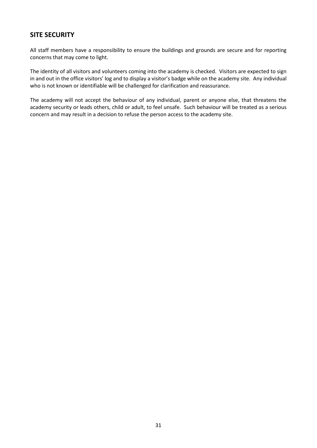# **SITE SECURITY**

All staff members have a responsibility to ensure the buildings and grounds are secure and for reporting concerns that may come to light.

The identity of all visitors and volunteers coming into the academy is checked. Visitors are expected to sign in and out in the office visitors' log and to display a visitor's badge while on the academy site. Any individual who is not known or identifiable will be challenged for clarification and reassurance.

The academy will not accept the behaviour of any individual, parent or anyone else, that threatens the academy security or leads others, child or adult, to feel unsafe. Such behaviour will be treated as a serious concern and may result in a decision to refuse the person access to the academy site.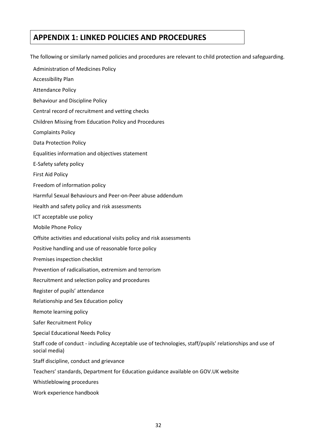# **APPENDIX 1: LINKED POLICIES AND PROCEDURES**

The following or similarly named policies and procedures are relevant to child protection and safeguarding.

- Administration of Medicines Policy
- Accessibility Plan
- Attendance Policy
- Behaviour and Discipline Policy
- Central record of recruitment and vetting checks
- Children Missing from Education Policy and Procedures
- Complaints Policy
- Data Protection Policy
- Equalities information and objectives statement
- E-Safety safety policy
- First Aid Policy
- Freedom of information policy
- Harmful Sexual Behaviours and Peer-on-Peer abuse addendum
- Health and safety policy and risk assessments
- ICT acceptable use policy
- Mobile Phone Policy
- Offsite activities and educational visits policy and risk assessments
- Positive handling and use of reasonable force policy
- Premises inspection checklist
- Prevention of radicalisation, extremism and terrorism
- Recruitment and selection policy and procedures
- Register of pupils' attendance
- Relationship and Sex Education policy
- Remote learning policy
- Safer Recruitment Policy
- Special Educational Needs Policy
- Staff code of conduct including Acceptable use of technologies, staff/pupils' relationships and use of social media)
- Staff discipline, conduct and grievance
- Teachers' standards, Department for Education guidance available on GOV.UK website
- Whistleblowing procedures
- Work experience handbook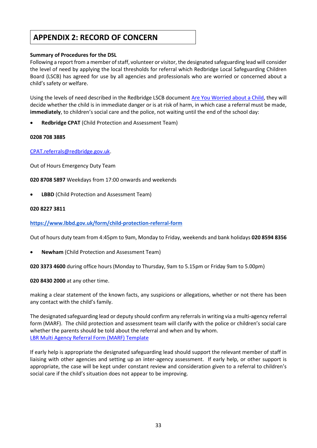# **APPENDIX 2: RECORD OF CONCERN**

#### **Summary of Procedures for the DSL**

Following a report from a member of staff, volunteer or visitor, the designated safeguarding lead will consider the level of need by applying the local thresholds for referral which Redbridge Local Safeguarding Children Board (LSCB) has agreed for use by all agencies and professionals who are worried or concerned about a child's safety or welfare.

Using the levels of need described in the Redbridge LSCB document [Are You Worried about a Child,](https://www.redbridgescp.org.uk/wp-content/uploads/2015/09/Redbridge-SCP-Multi-Agency-Thresholds-Document-September-2018-Final.pdf) they will decide whether the child is in immediate danger or is at risk of harm, in which case a referral must be made, **immediately**, to children's social care and the police, not waiting until the end of the school day:

• **Redbridge CPAT** (Child Protection and Assessment Team)

#### **0208 708 3885**

[CPAT.referrals@redbridge.gov.uk.](mailto:CPAT.referrals@redbridge.gov.uk)

Out of Hours Emergency Duty Team

**020 8708 5897** Weekdays from 17:00 onwards and weekends

• **LBBD** (Child Protection and Assessment Team)

#### **020 8227 3811**

#### **<https://www.lbbd.gov.uk/form/child-protection-referral-form>**

Out of hours duty team from 4:45pm to 9am, Monday to Friday, weekends and bank holidays **020 8594 8356** 

- **Newham** (Child Protection and Assessment Team)
- **020 3373 4600** during office hours (Monday to Thursday, 9am to 5.15pm or Friday 9am to 5.00pm)

**020 8430 2000** at any other time.

making a clear statement of the known facts, any suspicions or allegations, whether or not there has been any contact with the child's family.

The designated safeguarding lead or deputy should confirm any referrals in writing via a multi-agency referral form (MARF). The child protection and assessment team will clarify with the police or children's social care whether the parents should be told about the referral and when and by whom. [LBR Multi Agency Referral Form \(MARF\) Template](https://www.redbridgescp.org.uk/wp-content/uploads/2016/04/LBR-Multi-Agency-Referral-Form-MARF-Template.doc)

If early help is appropriate the designated safeguarding lead should support the relevant member of staff in liaising with other agencies and setting up an inter-agency assessment. If early help, or other support is appropriate, the case will be kept under constant review and consideration given to a referral to children's social care if the child's situation does not appear to be improving.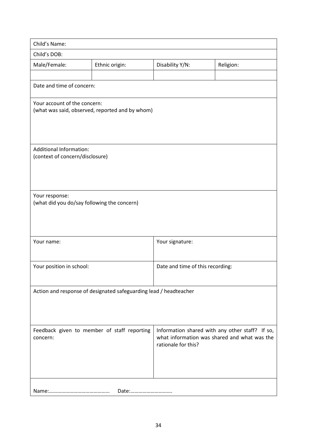| Child's Name:                                                     |                                                 |                                                                                                                        |           |  |  |  |
|-------------------------------------------------------------------|-------------------------------------------------|------------------------------------------------------------------------------------------------------------------------|-----------|--|--|--|
| Child's DOB:                                                      |                                                 |                                                                                                                        |           |  |  |  |
| Male/Female:                                                      | Ethnic origin:                                  | Disability Y/N:                                                                                                        | Religion: |  |  |  |
|                                                                   |                                                 |                                                                                                                        |           |  |  |  |
| Date and time of concern:                                         |                                                 |                                                                                                                        |           |  |  |  |
| Your account of the concern:                                      | (what was said, observed, reported and by whom) |                                                                                                                        |           |  |  |  |
| Additional Information:<br>(context of concern/disclosure)        |                                                 |                                                                                                                        |           |  |  |  |
| Your response:<br>(what did you do/say following the concern)     |                                                 |                                                                                                                        |           |  |  |  |
| Your name:                                                        |                                                 | Your signature:                                                                                                        |           |  |  |  |
| Your position in school:                                          |                                                 | Date and time of this recording:                                                                                       |           |  |  |  |
| Action and response of designated safeguarding lead / headteacher |                                                 |                                                                                                                        |           |  |  |  |
| Feedback given to member of staff reporting<br>concern:           |                                                 | Information shared with any other staff? If so,<br>what information was shared and what was the<br>rationale for this? |           |  |  |  |
| Date:                                                             |                                                 |                                                                                                                        |           |  |  |  |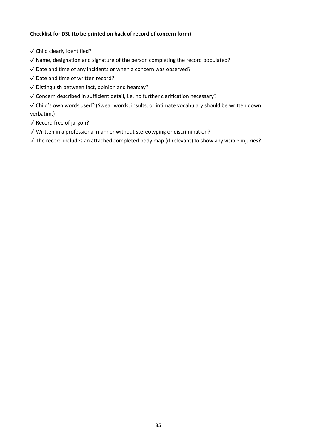## **Checklist for DSL (to be printed on back of record of concern form)**

- ✓ Child clearly identified?
- ✓ Name, designation and signature of the person completing the record populated?
- ✓ Date and time of any incidents or when a concern was observed?
- ✓ Date and time of written record?
- ✓ Distinguish between fact, opinion and hearsay?
- ✓ Concern described in sufficient detail, i.e. no further clarification necessary?
- ✓ Child's own words used? (Swear words, insults, or intimate vocabulary should be written down verbatim.)
- ✓ Record free of jargon?
- ✓ Written in a professional manner without stereotyping or discrimination?
- ✓ The record includes an attached completed body map (if relevant) to show any visible injuries?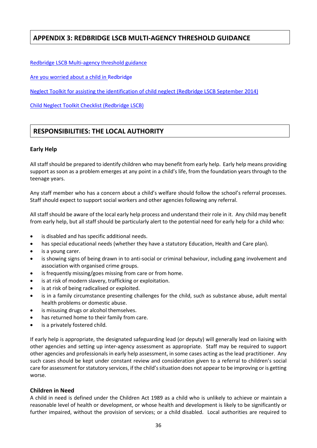# **APPENDIX 3: REDBRIDGE LSCB MULTI-AGENCY THRESHOLD GUIDANCE**

[Redbridge LSCB Multi-agency threshold guidance](https://www.redbridgescp.org.uk/wp-content/uploads/2015/09/Redbridge-SCP-Multi-Agency-Thresholds-Document-September-2018-Final.pdf) 

[Are you worried about a child in Redbridge](https://www.redbridgescp.org.uk/professionals/worried-about-a-child/#:~:text=What%20should%20you%20do%20if,17%3A00%20and%20at%20weekends)

[Neglect Toolkit for assisting the identification of child neglect \(Redbridge LSCB September 2014\)](https://www.redbridgescp.org.uk/wp-content/uploads/2019/06/Redbridge-LSCB-Escalation-and-Resolution-Policy-3rd-Edition-May-2019-Final.pdf)

[Child Neglect Toolkit Checklist \(Redbridge LSCB\)](https://www.redbridgescp.org.uk/wp-content/uploads/2015/09/Neglect-Toolkit-Checklist.pdf)

# **RESPONSIBILITIES: THE LOCAL AUTHORITY**

## **Early Help**

All staff should be prepared to identify children who may benefit from early help. Early help means providing support as soon as a problem emerges at any point in a child's life, from the foundation years through to the teenage years.

Any staff member who has a concern about a child's welfare should follow the school's referral processes. Staff should expect to support social workers and other agencies following any referral.

All staff should be aware of the local early help process and understand their role in it. Any child may benefit from early help, but all staff should be particularly alert to the potential need for early help for a child who:

- is disabled and has specific additional needs.
- has special educational needs (whether they have a statutory Education, Health and Care plan).
- is a young carer.
- is showing signs of being drawn in to anti-social or criminal behaviour, including gang involvement and association with organised crime groups.
- is frequently missing/goes missing from care or from home.
- is at risk of modern slavery, trafficking or exploitation.
- is at risk of being radicalised or exploited.
- is in a family circumstance presenting challenges for the child, such as substance abuse, adult mental health problems or domestic abuse.
- is misusing drugs or alcohol themselves.
- has returned home to their family from care.
- is a privately fostered child.

If early help is appropriate, the designated safeguarding lead (or deputy) will generally lead on liaising with other agencies and setting up inter-agency assessment as appropriate. Staff may be required to support other agencies and professionals in early help assessment, in some cases acting as the lead practitioner. Any such cases should be kept under constant review and consideration given to a referral to children's social care for assessment for statutory services, if the child's situation does not appear to be improving or is getting worse.

## **Children in Need**

A child in need is defined under the Children Act 1989 as a child who is unlikely to achieve or maintain a reasonable level of health or development, or whose health and development is likely to be significantly or further impaired, without the provision of services; or a child disabled. Local authorities are required to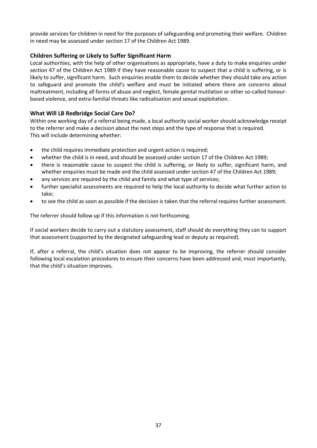provide services for children in need for the purposes of safeguarding and promoting their welfare. Children in need may be assessed under section 17 of the Children Act 1989.

## **Children Suffering or Likely to Suffer Significant Harm**

Local authorities, with the help of other organisations as appropriate, have a duty to make enquiries under section 47 of the Children Act 1989 if they have reasonable cause to suspect that a child is suffering, or is likely to suffer, significant harm. Such enquiries enable them to decide whether they should take any action to safeguard and promote the child's welfare and must be initiated where there are concerns about maltreatment, including all forms of abuse and neglect, female genital mutilation or other so-called honourbased violence, and extra-familial threats like radicalisation and sexual exploitation.

#### **What Will LB Redbridge Social Care Do?**

Within one working day of a referral being made, a local authority social worker should acknowledge receipt to the referrer and make a decision about the next steps and the type of response that is required. This will include determining whether:

- the child requires immediate protection and urgent action is required;
- whether the child is in need, and should be assessed under section 17 of the Children Act 1989;
- there is reasonable cause to suspect the child is suffering, or likely to suffer, significant harm, and whether enquiries must be made and the child assessed under section 47 of the Children Act 1989;
- any services are required by the child and family and what type of services;
- further specialist assessments are required to help the local authority to decide what further action to take;
- to see the child as soon as possible if the decision is taken that the referral requires further assessment.

The referrer should follow up if this information is not forthcoming.

If social workers decide to carry out a statutory assessment, staff should do everything they can to support that assessment (supported by the designated safeguarding lead or deputy as required).

If, after a referral, the child's situation does not appear to be improving, the referrer should consider following local escalation procedures to ensure their concerns have been addressed and, most importantly, that the child's situation improves.